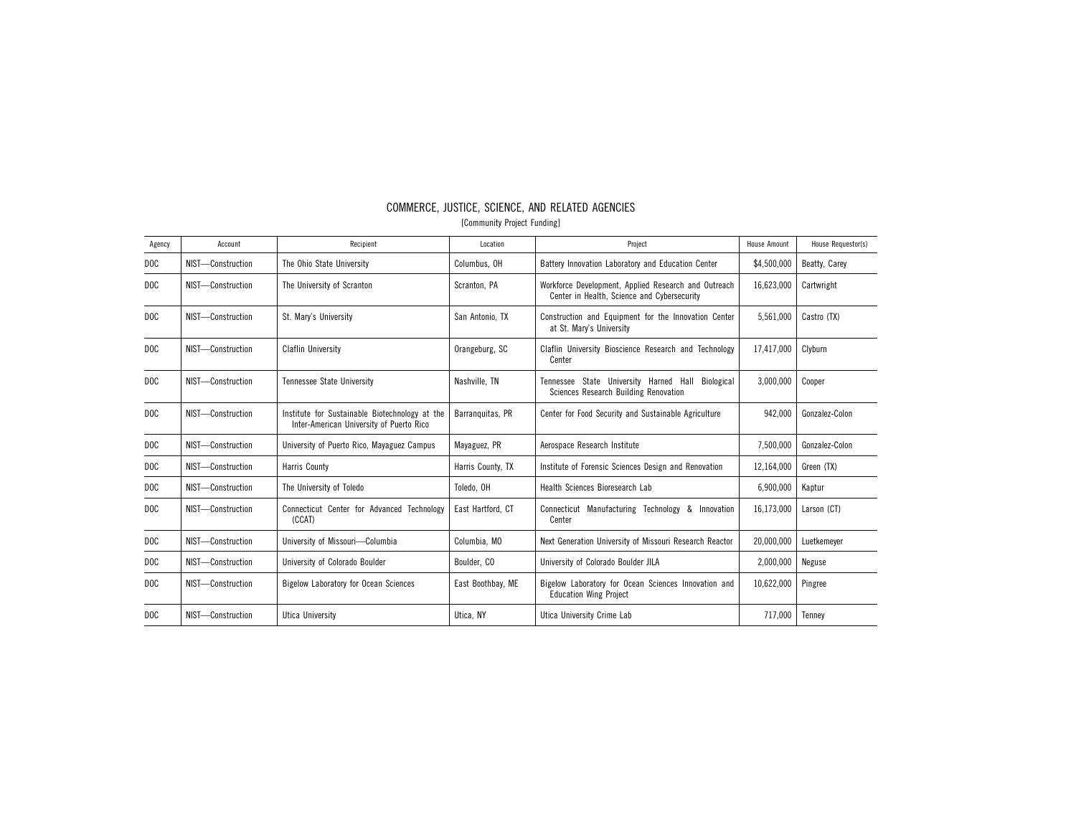| Agency           | Account           | Recipient                                                                                  | Location          | Project                                                                                             | <b>House Amount</b> | House Requestor(s) |
|------------------|-------------------|--------------------------------------------------------------------------------------------|-------------------|-----------------------------------------------------------------------------------------------------|---------------------|--------------------|
| DOC.             | NIST-Construction | The Ohio State University                                                                  | Columbus, OH      | Battery Innovation Laboratory and Education Center                                                  | \$4,500,000         | Beatty, Carey      |
| D <sub>O</sub> C | NIST-Construction | The University of Scranton                                                                 | Scranton, PA      | Workforce Development, Applied Research and Outreach<br>Center in Health, Science and Cybersecurity | 16,623,000          | Cartwright         |
| DOC              | NIST-Construction | St. Marv's University                                                                      | San Antonio. TX   | Construction and Equipment for the Innovation Center<br>at St. Mary's University                    | 5,561,000           | Castro (TX)        |
| DOC              | NIST-Construction | <b>Claflin University</b>                                                                  | Orangeburg, SC    | Claflin University Bioscience Research and Technology<br>Center                                     | 17.417.000          | Clyburn            |
| DOC              | NIST-Construction | Tennessee State University                                                                 | Nashville, TN     | Tennessee State University Harned Hall<br>Biological<br>Sciences Research Building Renovation       | 3,000,000           | Cooper             |
| DOC.             | NIST-Construction | Institute for Sustainable Biotechnology at the<br>Inter-American University of Puerto Rico | Barranguitas, PR  | Center for Food Security and Sustainable Agriculture                                                | 942,000             | Gonzalez-Colon     |
| DOC.             | NIST-Construction | University of Puerto Rico, Mayaguez Campus                                                 | Mayaguez, PR      | Aerospace Research Institute                                                                        | 7,500,000           | Gonzalez-Colon     |
| DOC              | NIST-Construction | <b>Harris County</b>                                                                       | Harris County, TX | Institute of Forensic Sciences Design and Renovation                                                | 12,164,000          | Green (TX)         |
| DOC              | NIST-Construction | The University of Toledo                                                                   | Toledo, OH        | Health Sciences Bioresearch Lab                                                                     | 6,900,000           | Kaptur             |
| DOC.             | NIST-Construction | Connecticut Center for Advanced Technology<br>(CCAT)                                       | East Hartford, CT | Connecticut Manufacturing Technology & Innovation<br>Center                                         | 16,173,000          | Larson (CT)        |
| DOC.             | NIST-Construction | University of Missouri-Columbia                                                            | Columbia, MO      | Next Generation University of Missouri Research Reactor                                             | 20,000,000          | Luetkemeyer        |
| D <sub>O</sub> C | NIST-Construction | University of Colorado Boulder                                                             | Boulder, CO       | University of Colorado Boulder JILA                                                                 | 2,000,000           | Neguse             |
| DOC              | NIST-Construction | <b>Bigelow Laboratory for Ocean Sciences</b>                                               | East Boothbay, ME | Bigelow Laboratory for Ocean Sciences Innovation and<br><b>Education Wing Project</b>               | 10,622,000          | Pingree            |
| D <sub>O</sub> C | NIST-Construction | Utica University                                                                           | Utica, NY         | Utica University Crime Lab                                                                          | 717.000             | Tennev             |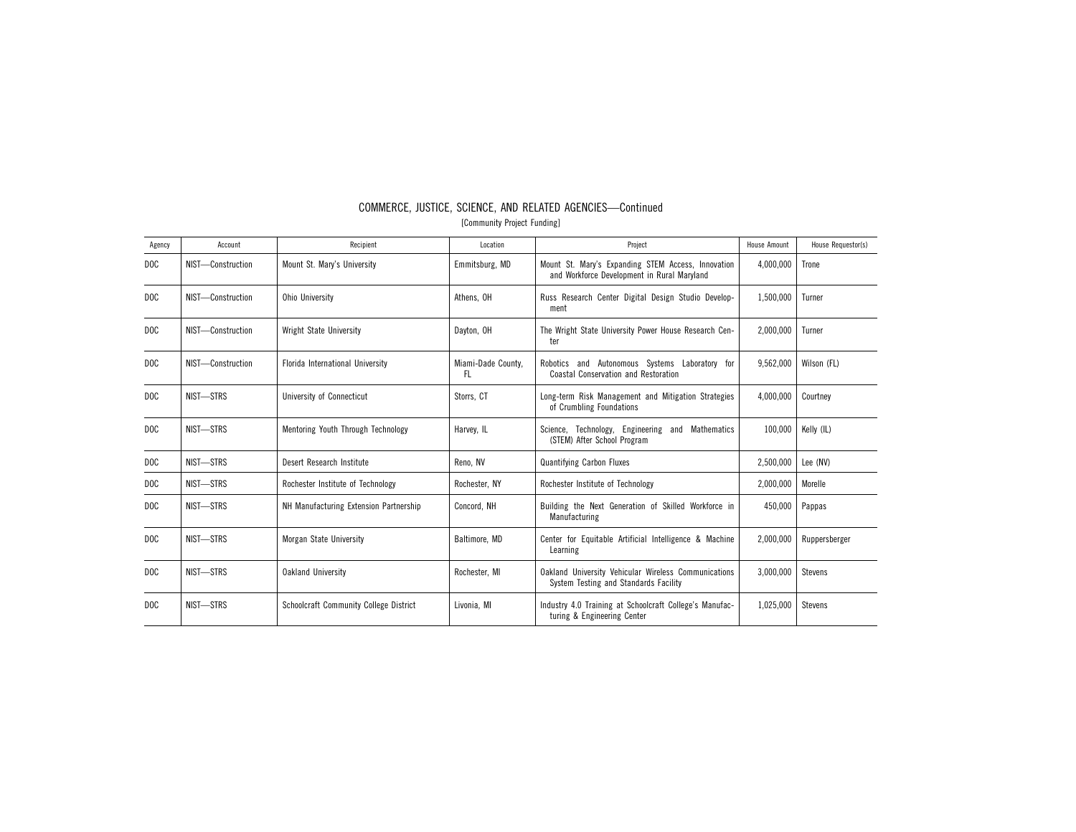| Agency           | Account           | Recipient                                     | Location                  | Project                                                                                           | <b>House Amount</b> | House Requestor(s) |
|------------------|-------------------|-----------------------------------------------|---------------------------|---------------------------------------------------------------------------------------------------|---------------------|--------------------|
| D <sub>O</sub> C | NIST-Construction | Mount St. Mary's University                   | Emmitsburg, MD            | Mount St. Mary's Expanding STEM Access, Innovation<br>and Workforce Development in Rural Maryland | 4,000,000           | Trone              |
| D <sub>O</sub> C | NIST-Construction | <b>Ohio University</b>                        | Athens, OH                | Russ Research Center Digital Design Studio Develop-<br>ment                                       | 1,500,000           | Turner             |
| DOC              | NIST-Construction | Wright State University                       | Dayton, OH                | The Wright State University Power House Research Cen-<br>ter                                      | 2,000,000           | Turner             |
| DOC              | NIST-Construction | Florida International University              | Miami-Dade County,<br>FL. | Robotics and Autonomous Systems Laboratory for<br><b>Coastal Conservation and Restoration</b>     | 9,562,000           | Wilson (FL)        |
| D <sub>O</sub> C | NIST-STRS         | <b>University of Connecticut</b>              | Storrs, CT                | Long-term Risk Management and Mitigation Strategies<br>of Crumbling Foundations                   | 4,000,000           | Courtney           |
| DOC              | NIST-STRS         | Mentoring Youth Through Technology            | Harvey, IL                | Science, Technology, Engineering and Mathematics<br>(STEM) After School Program                   | 100,000             | Kelly (IL)         |
| DOC              | NIST-STRS         | Desert Research Institute                     | Reno, NV                  | <b>Quantifying Carbon Fluxes</b>                                                                  | 2,500,000           | Lee (NV)           |
| D <sub>O</sub> C | NIST-STRS         | Rochester Institute of Technology             | Rochester, NY             | Rochester Institute of Technology                                                                 | 2.000.000           | Morelle            |
| DOC              | NIST-STRS         | NH Manufacturing Extension Partnership        | Concord, NH               | Building the Next Generation of Skilled Workforce in<br>Manufacturing                             | 450,000             | Pappas             |
| D <sub>O</sub> C | NIST-STRS         | Morgan State University                       | Baltimore, MD             | Center for Equitable Artificial Intelligence & Machine<br>Learning                                | 2,000,000           | Ruppersberger      |
| D <sub>O</sub> C | NIST-STRS         | <b>Oakland University</b>                     | Rochester, MI             | Oakland University Vehicular Wireless Communications<br>System Testing and Standards Facility     | 3,000,000           | <b>Stevens</b>     |
| D <sub>O</sub> C | NIST-STRS         | <b>Schoolcraft Community College District</b> | Livonia, MI               | Industry 4.0 Training at Schoolcraft College's Manufac-<br>turing & Engineering Center            | 1,025,000           | <b>Stevens</b>     |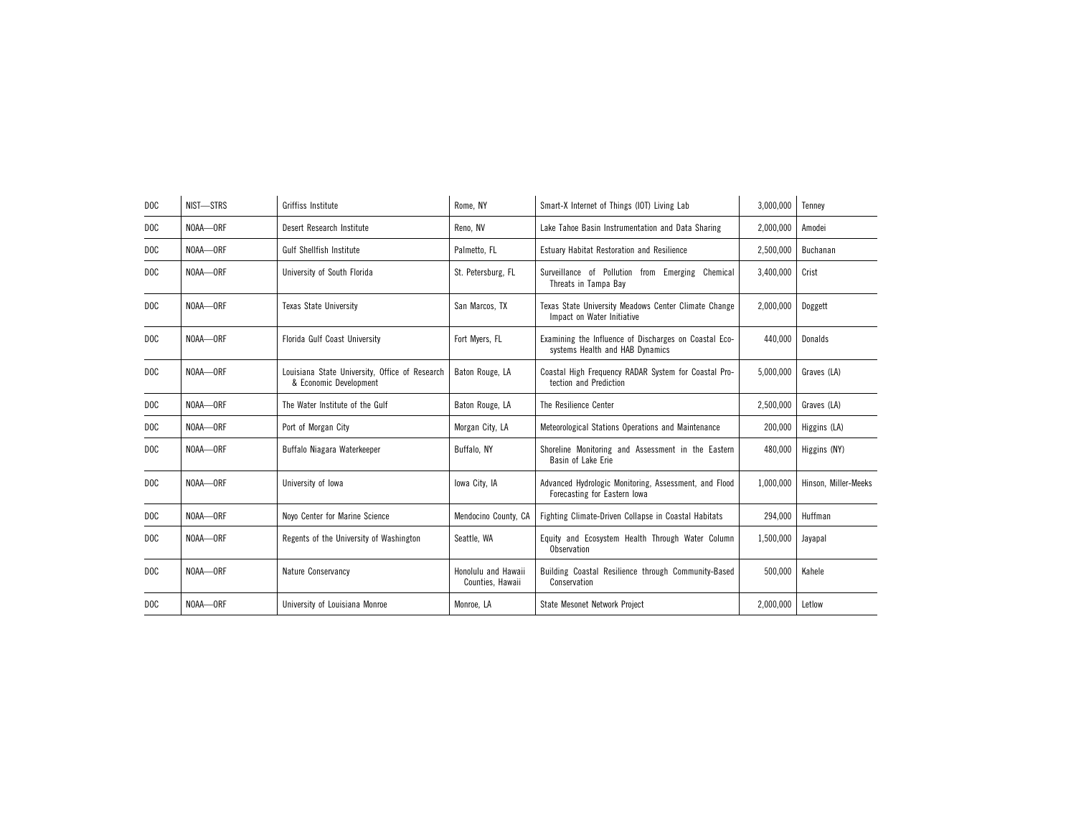| D <sub>O</sub> C | NIST-STRS | Griffiss Institute                                                       | Rome, NY                                | Smart-X Internet of Things (IOT) Living Lab                                              | 3,000,000 | Tenney               |
|------------------|-----------|--------------------------------------------------------------------------|-----------------------------------------|------------------------------------------------------------------------------------------|-----------|----------------------|
| D <sub>O</sub> C | NOAA-ORF  | Desert Research Institute                                                | Reno, NV                                | Lake Tahoe Basin Instrumentation and Data Sharing                                        | 2,000,000 | Amodei               |
| D <sub>O</sub> C | NOAA-ORF  | <b>Gulf Shellfish Institute</b>                                          | Palmetto, FL                            | Estuary Habitat Restoration and Resilience                                               | 2,500,000 | Buchanan             |
| D <sub>O</sub> C | NOAA-ORF  | University of South Florida                                              | St. Petersburg, FL                      | Surveillance of Pollution from Emerging Chemical<br>Threats in Tampa Bay                 | 3,400,000 | Crist                |
| D <sub>O</sub> C | NOAA-ORF  | <b>Texas State University</b>                                            | San Marcos, TX                          | Texas State University Meadows Center Climate Change<br>Impact on Water Initiative       | 2.000.000 | Doggett              |
| DOC              | NOAA-ORF  | Florida Gulf Coast University                                            | Fort Mvers, FL                          | Examining the Influence of Discharges on Coastal Eco-<br>systems Health and HAB Dynamics | 440.000   | Donalds              |
| DOC              | NOAA-ORF  | Louisiana State University, Office of Research<br>& Economic Development | Baton Rouge, LA                         | Coastal High Frequency RADAR System for Coastal Pro-<br>tection and Prediction           | 5,000,000 | Graves (LA)          |
| D <sub>O</sub> C | NOAA-ORF  | The Water Institute of the Gulf                                          | Baton Rouge, LA                         | The Resilience Center                                                                    | 2,500,000 | Graves (LA)          |
| D <sub>O</sub> C | NOAA-ORF  | Port of Morgan City                                                      | Morgan City, LA                         | Meteorological Stations Operations and Maintenance                                       | 200,000   | Higgins (LA)         |
| D <sub>O</sub> C | NOAA-ORF  | Buffalo Niagara Waterkeeper                                              | Buffalo, NY                             | Shoreline Monitoring and Assessment in the Eastern<br>Basin of Lake Erie                 | 480,000   | Higgins (NY)         |
| D <sub>O</sub> C | NOAA-ORF  | University of Iowa                                                       | lowa City, IA                           | Advanced Hydrologic Monitoring, Assessment, and Flood<br>Forecasting for Eastern lowa    | 1,000,000 | Hinson, Miller-Meeks |
| DOC              | NOAA-ORF  | Novo Center for Marine Science                                           | Mendocino County, CA                    | Fighting Climate-Driven Collapse in Coastal Habitats                                     | 294,000   | Huffman              |
| D <sub>O</sub> C | NOAA-ORF  | Regents of the University of Washington                                  | Seattle, WA                             | Equity and Ecosystem Health Through Water Column<br>Observation                          | 1,500,000 | Jayapal              |
| D <sub>O</sub> C | NOAA-ORF  | Nature Conservancy                                                       | Honolulu and Hawaii<br>Counties, Hawaii | Building Coastal Resilience through Community-Based<br>Conservation                      | 500,000   | Kahele               |
| D <sub>O</sub> C | NOAA-ORF  | University of Louisiana Monroe                                           | Monroe, LA                              | <b>State Mesonet Network Project</b>                                                     | 2,000,000 | Letlow               |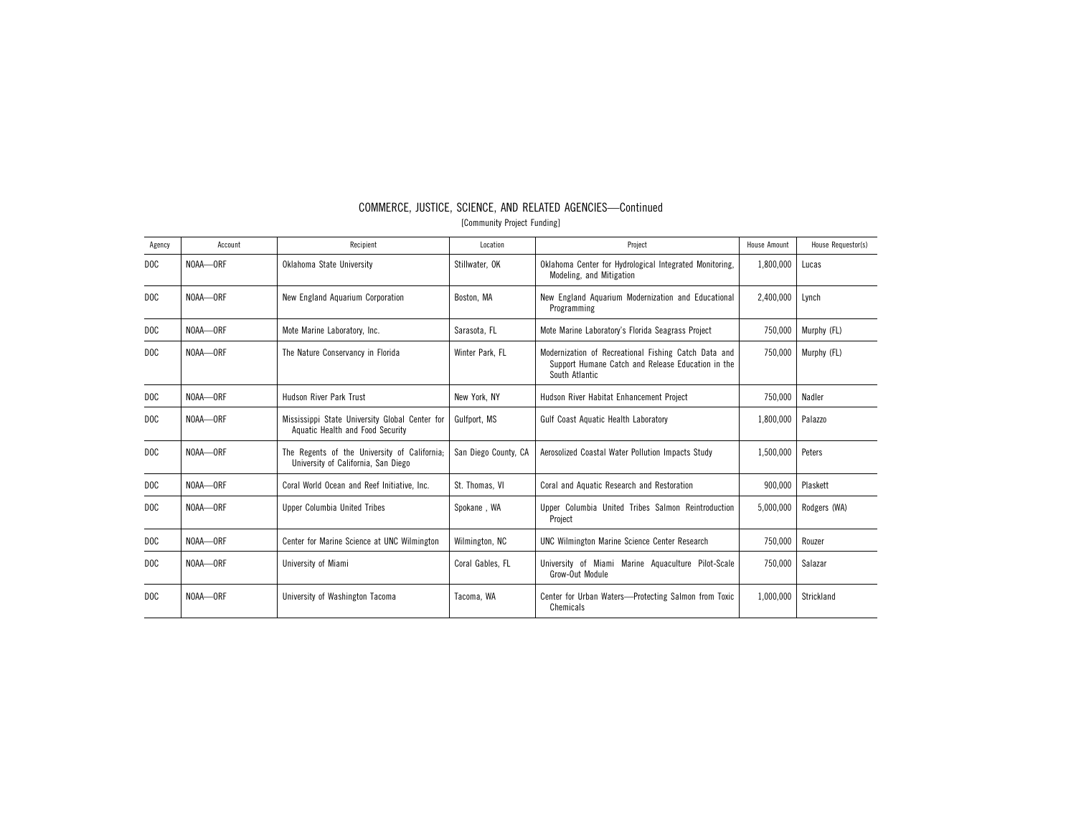| Agency           | Account  | Recipient                                                                           | Location             | Project                                                                                                                     | <b>House Amount</b> | House Requestor(s) |
|------------------|----------|-------------------------------------------------------------------------------------|----------------------|-----------------------------------------------------------------------------------------------------------------------------|---------------------|--------------------|
| DOC              | NOAA-ORF | Oklahoma State University                                                           | Stillwater, OK       | Oklahoma Center for Hydrological Integrated Monitoring,<br>Modeling, and Mitigation                                         | 1,800,000           | Lucas              |
| D <sub>O</sub> C | NOAA-ORF | New England Aquarium Corporation                                                    | Boston, MA           | New England Aguarium Modernization and Educational<br>Programming                                                           | 2.400.000           | Lynch              |
| DOC              | NOAA-ORF | Mote Marine Laboratory, Inc.                                                        | Sarasota, FL         | Mote Marine Laboratory's Florida Seagrass Project                                                                           | 750,000             | Murphy (FL)        |
| DOC              | NOAA-ORF | The Nature Conservancy in Florida                                                   | Winter Park. FL      | Modernization of Recreational Fishing Catch Data and<br>Support Humane Catch and Release Education in the<br>South Atlantic | 750,000             | Murphy (FL)        |
| DOC              | NOAA-ORF | <b>Hudson River Park Trust</b>                                                      | New York, NY         | Hudson River Habitat Enhancement Project                                                                                    | 750,000             | Nadler             |
| D <sub>O</sub> C | NOAA-ORF | Mississippi State University Global Center for<br>Aquatic Health and Food Security  | Gulfport, MS         | Gulf Coast Aquatic Health Laboratory                                                                                        | 1,800,000           | Palazzo            |
| D <sub>O</sub> C | NOAA-ORF | The Regents of the University of California;<br>University of California, San Diego | San Diego County, CA | Aerosolized Coastal Water Pollution Impacts Study                                                                           | 1,500,000           | Peters             |
| DOC              | NOAA-ORF | Coral World Ocean and Reef Initiative, Inc.                                         | St. Thomas, VI       | Coral and Aquatic Research and Restoration                                                                                  | 900,000             | Plaskett           |
| D <sub>O</sub> C | NOAA-ORF | Upper Columbia United Tribes                                                        | Spokane, WA          | Upper Columbia United Tribes Salmon Reintroduction<br>Project                                                               | 5,000,000           | Rodgers (WA)       |
| DOC              | NOAA-ORF | Center for Marine Science at UNC Wilmington                                         | Wilmington, NC       | <b>UNC Wilmington Marine Science Center Research</b>                                                                        | 750,000             | Rouzer             |
| D <sub>O</sub> C | NOAA-ORF | University of Miami                                                                 | Coral Gables, FL     | University of Miami Marine Aquaculture Pilot-Scale<br>Grow-Out Module                                                       | 750,000             | Salazar            |
| DOC              | NOAA-ORF | University of Washington Tacoma                                                     | Tacoma, WA           | Center for Urban Waters-Protecting Salmon from Toxic<br>Chemicals                                                           | 1,000,000           | Strickland         |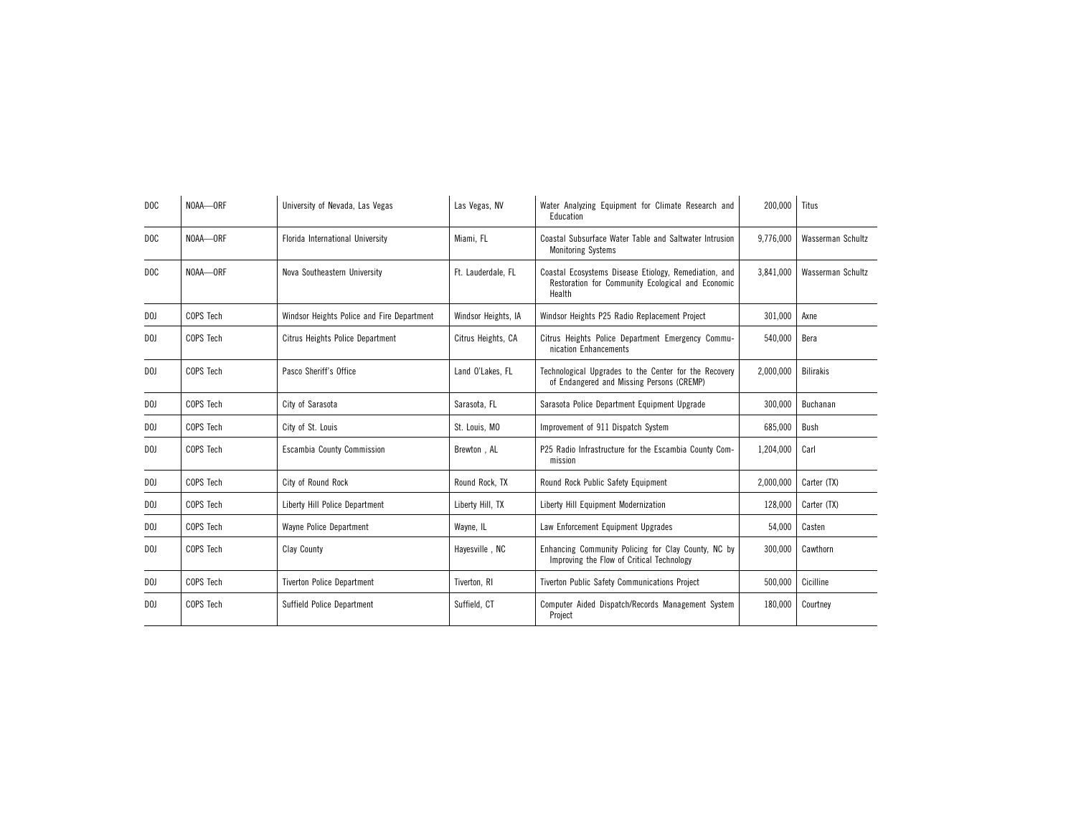| D <sub>O</sub> C | NOAA-ORF  | University of Nevada, Las Vegas            | Las Vegas, NV       | Water Analyzing Equipment for Climate Research and<br>Education                                                      | 200,000   | Titus             |
|------------------|-----------|--------------------------------------------|---------------------|----------------------------------------------------------------------------------------------------------------------|-----------|-------------------|
| D <sub>0</sub> C | NOAA-ORF  | Florida International University           | Miami, FL           | Coastal Subsurface Water Table and Saltwater Intrusion<br><b>Monitoring Systems</b>                                  | 9,776,000 | Wasserman Schultz |
| DOC              | NOAA-ORF  | Nova Southeastern University               | Ft. Lauderdale, FL  | Coastal Ecosystems Disease Etiology, Remediation, and<br>Restoration for Community Ecological and Economic<br>Health | 3,841,000 | Wasserman Schultz |
| DOJ              | COPS Tech | Windsor Heights Police and Fire Department | Windsor Heights, IA | Windsor Heights P25 Radio Replacement Project                                                                        | 301.000   | Axne              |
| D <sub>0</sub>   | COPS Tech | Citrus Heights Police Department           | Citrus Heights, CA  | Citrus Heights Police Department Emergency Commu-<br>nication Enhancements                                           | 540,000   | Bera              |
| D <sub>0</sub>   | COPS Tech | Pasco Sheriff's Office                     | Land O'Lakes, FL    | Technological Upgrades to the Center for the Recovery<br>of Endangered and Missing Persons (CREMP)                   | 2,000,000 | <b>Bilirakis</b>  |
| D <sub>0</sub>   | COPS Tech | City of Sarasota                           | Sarasota, FL        | Sarasota Police Department Equipment Upgrade                                                                         | 300,000   | Buchanan          |
| D <sub>0</sub>   | COPS Tech | City of St. Louis                          | St. Louis, MO       | Improvement of 911 Dispatch System                                                                                   | 685,000   | Bush              |
| D <sub>0</sub>   | COPS Tech | Escambia County Commission                 | Brewton, AL         | P25 Radio Infrastructure for the Escambia County Com-<br>mission                                                     | 1,204,000 | Carl              |
| D <sub>0</sub>   | COPS Tech | City of Round Rock                         | Round Rock, TX      | Round Rock Public Safety Equipment                                                                                   | 2.000.000 | Carter (TX)       |
| DOJ              | COPS Tech | Liberty Hill Police Department             | Liberty Hill, TX    | Liberty Hill Equipment Modernization                                                                                 | 128,000   | Carter (TX)       |
| D <sub>0</sub>   | COPS Tech | Wayne Police Department                    | Wayne, IL           | Law Enforcement Equipment Upgrades                                                                                   | 54,000    | Casten            |
| D <sub>0</sub>   | COPS Tech | Clay County                                | Hayesville, NC      | Enhancing Community Policing for Clay County, NC by<br>Improving the Flow of Critical Technology                     | 300,000   | Cawthorn          |
| D <sub>0</sub>   | COPS Tech | <b>Tiverton Police Department</b>          | Tiverton, RI        | Tiverton Public Safety Communications Project                                                                        | 500,000   | Cicilline         |
| DOJ              | COPS Tech | Suffield Police Department                 | Suffield, CT        | Computer Aided Dispatch/Records Management System<br>Project                                                         | 180,000   | Courtney          |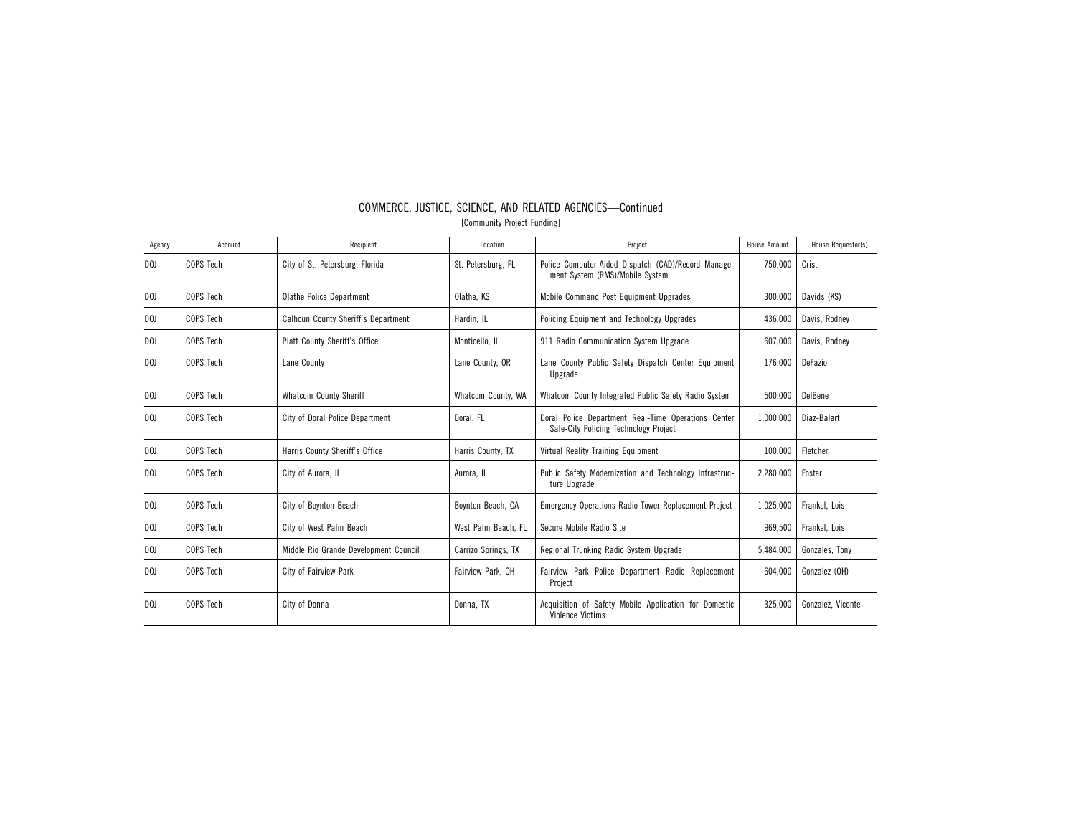| Agency         | Account   | Recipient                             | Location            | Project                                                                                      | <b>House Amount</b> | House Requestor(s) |
|----------------|-----------|---------------------------------------|---------------------|----------------------------------------------------------------------------------------------|---------------------|--------------------|
| D <sub>0</sub> | COPS Tech | City of St. Petersburg, Florida       | St. Petersburg, FL  | Police Computer-Aided Dispatch (CAD)/Record Manage-<br>ment System (RMS)/Mobile System       | 750.000             | Crist              |
| DOJ            | COPS Tech | Olathe Police Department              | Olathe, KS          | Mobile Command Post Equipment Upgrades                                                       | 300,000             | Davids (KS)        |
| D <sub>0</sub> | COPS Tech | Calhoun County Sheriff's Department   | Hardin, IL          | Policing Equipment and Technology Upgrades                                                   | 436,000             | Davis, Rodney      |
| D <sub>0</sub> | COPS Tech | Piatt County Sheriff's Office         | Monticello, IL      | 911 Radio Communication System Upgrade                                                       | 607,000             | Davis, Rodney      |
| D <sub>0</sub> | COPS Tech | Lane County                           | Lane County, OR     | Lane County Public Safety Dispatch Center Equipment<br>Upgrade                               | 176,000             | DeFazio            |
| DOJ            | COPS Tech | <b>Whatcom County Sheriff</b>         | Whatcom County, WA  | Whatcom County Integrated Public Safety Radio System                                         | 500,000             | DelBene            |
| D <sub>0</sub> | COPS Tech | City of Doral Police Department       | Doral, FL           | Doral Police Department Real-Time Operations Center<br>Safe-City Policing Technology Project | 1,000,000           | Diaz-Balart        |
| D <sub>0</sub> | COPS Tech | Harris County Sheriff's Office        | Harris County, TX   | Virtual Reality Training Equipment                                                           | 100,000             | Fletcher           |
| D <sub>0</sub> | COPS Tech | City of Aurora, IL                    | Aurora. IL          | Public Safety Modernization and Technology Infrastruc-<br>ture Upgrade                       | 2,280,000           | Foster             |
| DOJ            | COPS Tech | City of Boynton Beach                 | Boynton Beach, CA   | <b>Emergency Operations Radio Tower Replacement Project</b>                                  | 1,025,000           | Frankel, Lois      |
| DOJ            | COPS Tech | City of West Palm Beach               | West Palm Beach, FL | Secure Mobile Radio Site                                                                     | 969,500             | Frankel, Lois      |
| DOJ            | COPS Tech | Middle Rio Grande Development Council | Carrizo Springs, TX | Regional Trunking Radio System Upgrade                                                       | 5,484,000           | Gonzales, Tony     |
| D <sub>0</sub> | COPS Tech | City of Fairview Park                 | Fairview Park, OH   | Fairview Park Police Department Radio Replacement<br>Project                                 | 604,000             | Gonzalez (OH)      |
| D <sub>0</sub> | COPS Tech | City of Donna                         | Donna, TX           | Acquisition of Safety Mobile Application for Domestic<br><b>Violence Victims</b>             | 325,000             | Gonzalez, Vicente  |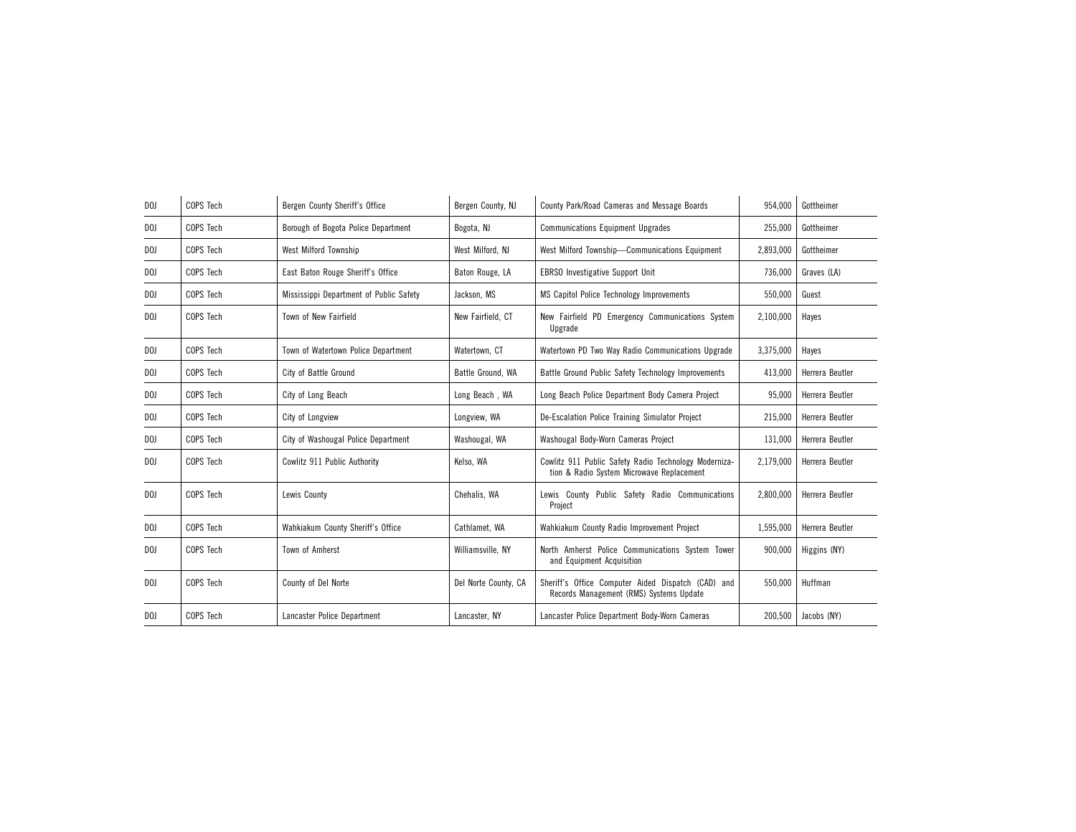| D <sub>0</sub> | COPS Tech | Bergen County Sheriff's Office          | Bergen County, NJ    | County Park/Road Cameras and Message Boards                                                        | 954,000   | Gottheimer      |
|----------------|-----------|-----------------------------------------|----------------------|----------------------------------------------------------------------------------------------------|-----------|-----------------|
| D <sub>0</sub> | COPS Tech | Borough of Bogota Police Department     | Bogota, NJ           | <b>Communications Equipment Upgrades</b>                                                           | 255,000   | Gottheimer      |
| D <sub>0</sub> | COPS Tech | West Milford Township                   | West Milford, NJ     | West Milford Township-Communications Equipment                                                     | 2,893,000 | Gottheimer      |
| D <sub>0</sub> | COPS Tech | East Baton Rouge Sheriff's Office       | Baton Rouge, LA      | <b>EBRSO</b> Investigative Support Unit                                                            | 736,000   | Graves (LA)     |
| D <sub>0</sub> | COPS Tech | Mississippi Department of Public Safety | Jackson, MS          | MS Capitol Police Technology Improvements                                                          | 550,000   | Guest           |
| D <sub>0</sub> | COPS Tech | Town of New Fairfield                   | New Fairfield, CT    | New Fairfield PD Emergency Communications System<br>Upgrade                                        | 2,100,000 | Hayes           |
| D <sub>0</sub> | COPS Tech | Town of Watertown Police Department     | Watertown, CT        | Watertown PD Two Way Radio Communications Upgrade                                                  | 3,375,000 | Haves           |
| DOJ            | COPS Tech | City of Battle Ground                   | Battle Ground, WA    | Battle Ground Public Safety Technology Improvements                                                | 413.000   | Herrera Beutler |
| D <sub>0</sub> | COPS Tech | City of Long Beach                      | Long Beach, WA       | Long Beach Police Department Body Camera Project                                                   | 95,000    | Herrera Beutler |
| DOJ            | COPS Tech | City of Longview                        | Longview, WA         | De-Escalation Police Training Simulator Project                                                    | 215,000   | Herrera Beutler |
| D <sub>0</sub> | COPS Tech | City of Washougal Police Department     | Washougal, WA        | Washougal Body-Worn Cameras Project                                                                | 131,000   | Herrera Beutler |
| D <sub>0</sub> | COPS Tech | Cowlitz 911 Public Authority            | Kelso, WA            | Cowlitz 911 Public Safety Radio Technology Moderniza-<br>tion & Radio System Microwave Replacement | 2,179,000 | Herrera Beutler |
| D <sub>0</sub> | COPS Tech | Lewis County                            | Chehalis, WA         | Lewis County Public Safety Radio Communications<br>Project                                         | 2,800,000 | Herrera Beutler |
| D <sub>0</sub> | COPS Tech | Wahkiakum County Sheriff's Office       | Cathlamet, WA        | Wahkiakum County Radio Improvement Project                                                         | 1,595,000 | Herrera Beutler |
| D <sub>0</sub> | COPS Tech | Town of Amherst                         | Williamsville, NY    | North Amherst Police Communications System Tower<br>and Equipment Acquisition                      | 900.000   | Higgins (NY)    |
| D <sub>0</sub> | COPS Tech | County of Del Norte                     | Del Norte County, CA | Sheriff's Office Computer Aided Dispatch (CAD) and<br>Records Management (RMS) Systems Update      | 550,000   | Huffman         |
| D <sub>0</sub> | COPS Tech | Lancaster Police Department             | Lancaster, NY        | Lancaster Police Department Body-Worn Cameras                                                      | 200,500   | Jacobs (NY)     |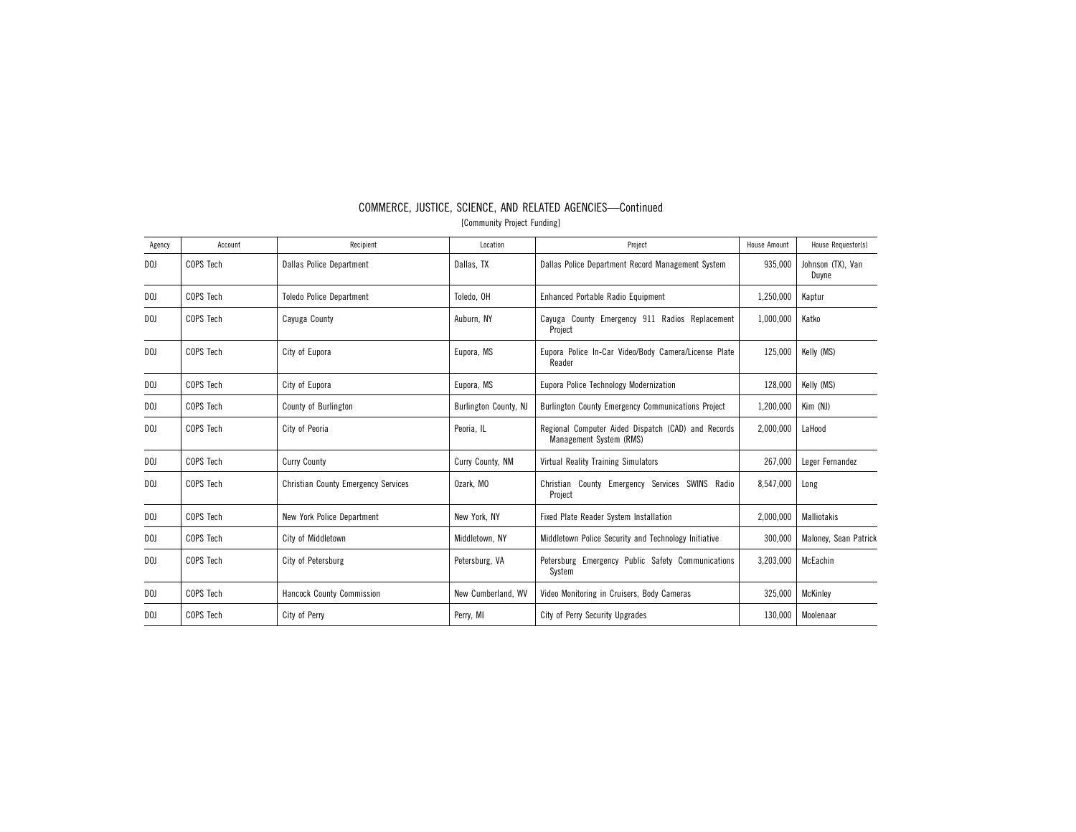| Agency         | Account   | Recipient                                  | Location              | Project                                                                       | <b>House Amount</b> | House Requestor(s)         |
|----------------|-----------|--------------------------------------------|-----------------------|-------------------------------------------------------------------------------|---------------------|----------------------------|
| D <sub>0</sub> | COPS Tech | <b>Dallas Police Department</b>            | Dallas, TX            | Dallas Police Department Record Management System                             | 935.000             | Johnson (TX), Van<br>Duyne |
| D <sub>0</sub> | COPS Tech | <b>Toledo Police Department</b>            | Toledo, OH            | Enhanced Portable Radio Equipment                                             | 1,250,000           | Kaptur                     |
| D <sub>0</sub> | COPS Tech | Cayuga County                              | Auburn, NY            | Cayuga County Emergency 911 Radios Replacement<br>Project                     | 1,000,000           | Katko                      |
| D <sub>0</sub> | COPS Tech | City of Eupora                             | Eupora, MS            | Eupora Police In-Car Video/Body Camera/License Plate<br>Reader                | 125,000             | Kelly (MS)                 |
| DOJ.           | COPS Tech | City of Eupora                             | Eupora, MS            | Eupora Police Technology Modernization                                        | 128,000             | Kelly (MS)                 |
| DOJ            | COPS Tech | County of Burlington                       | Burlington County, NJ | Burlington County Emergency Communications Project                            | 1,200,000           | Kim (NJ)                   |
| DOJ            | COPS Tech | City of Peoria                             | Peoria, IL            | Regional Computer Aided Dispatch (CAD) and Records<br>Management System (RMS) | 2,000,000           | LaHood                     |
| DOJ            | COPS Tech | <b>Curry County</b>                        | Curry County, NM      | <b>Virtual Reality Training Simulators</b>                                    | 267,000             | Leger Fernandez            |
| DOJ            | COPS Tech | <b>Christian County Emergency Services</b> | Ozark, MO             | Christian County Emergency Services SWINS Radio<br>Project                    | 8,547,000           | Long                       |
| DOJ            | COPS Tech | New York Police Department                 | New York, NY          | Fixed Plate Reader System Installation                                        | 2,000,000           | Malliotakis                |
| DOJ            | COPS Tech | City of Middletown                         | Middletown, NY        | Middletown Police Security and Technology Initiative                          | 300,000             | Maloney, Sean Patrick      |
| DOJ            | COPS Tech | City of Petersburg                         | Petersburg, VA        | Petersburg Emergency Public Safety Communications<br>System                   | 3,203,000           | McEachin                   |
| D <sub>0</sub> | COPS Tech | Hancock County Commission                  | New Cumberland, WV    | Video Monitoring in Cruisers, Body Cameras                                    | 325,000             | <b>McKinley</b>            |
| D <sub>0</sub> | COPS Tech | City of Perry                              | Perry, MI             | City of Perry Security Upgrades                                               | 130,000             | Moolenaar                  |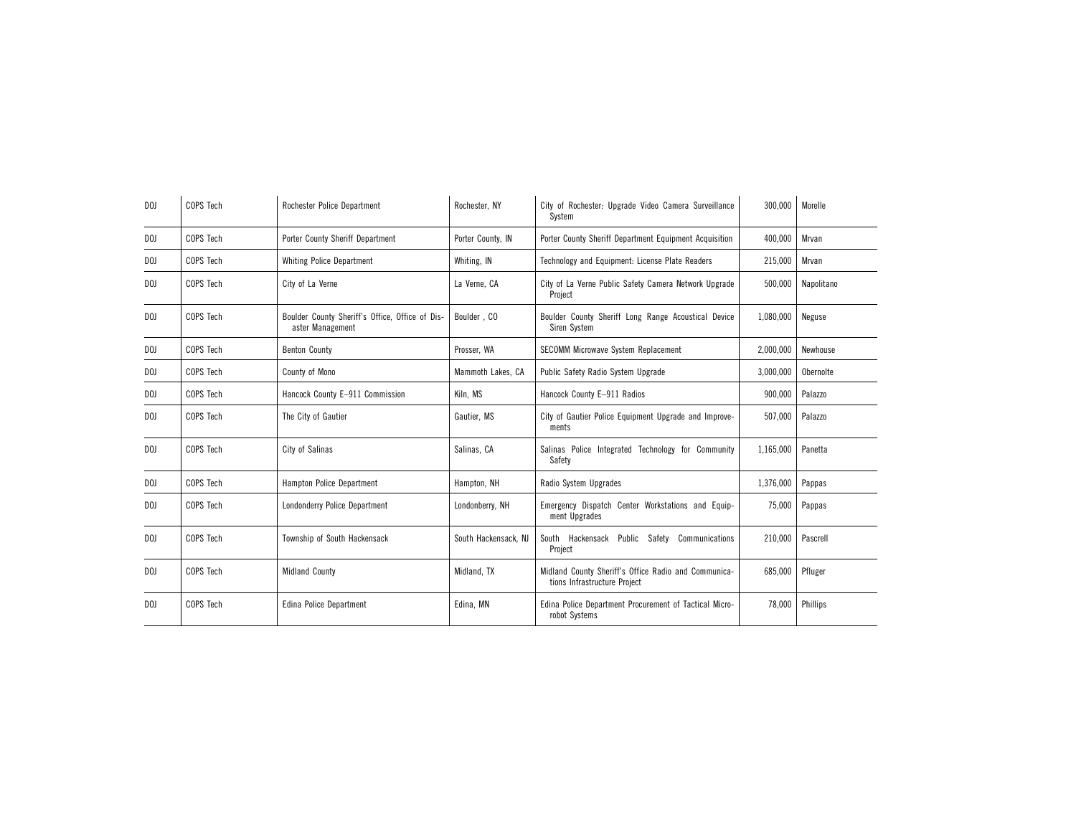| D <sub>0</sub> | COPS Tech | Rochester Police Department                                         | Rochester, NY        | City of Rochester: Upgrade Video Camera Surveillance<br>System                       | 300,000   | Morelle    |
|----------------|-----------|---------------------------------------------------------------------|----------------------|--------------------------------------------------------------------------------------|-----------|------------|
| D <sub>0</sub> | COPS Tech | Porter County Sheriff Department                                    | Porter County, IN    | Porter County Sheriff Department Equipment Acquisition                               | 400,000   | Mrvan      |
| D <sub>0</sub> | COPS Tech | <b>Whiting Police Department</b>                                    | Whiting, IN          | Technology and Equipment: License Plate Readers                                      | 215,000   | Mrvan      |
| DOJ            | COPS Tech | City of La Verne                                                    | La Verne, CA         | City of La Verne Public Safety Camera Network Upgrade<br>Project                     | 500,000   | Napolitano |
| D <sub>0</sub> | COPS Tech | Boulder County Sheriff's Office, Office of Dis-<br>aster Management | Boulder, CO          | Boulder County Sheriff Long Range Acoustical Device<br>Siren System                  | 1,080,000 | Neguse     |
| DOJ            | COPS Tech | <b>Benton County</b>                                                | Prosser, WA          | SECOMM Microwave System Replacement                                                  | 2,000,000 | Newhouse   |
| DOJ            | COPS Tech | County of Mono                                                      | Mammoth Lakes, CA    | Public Safety Radio System Upgrade                                                   | 3,000,000 | Obernolte  |
| D <sub>0</sub> | COPS Tech | Hancock County E-911 Commission                                     | Kiln, MS             | Hancock County E-911 Radios                                                          | 900,000   | Palazzo    |
| DOJ            | COPS Tech | The City of Gautier                                                 | Gautier, MS          | City of Gautier Police Equipment Upgrade and Improve-<br>ments                       | 507,000   | Palazzo    |
| D <sub>0</sub> | COPS Tech | City of Salinas                                                     | Salinas, CA          | Salinas Police Integrated Technology for Community<br>Safety                         | 1,165,000 | Panetta    |
| D <sub>0</sub> | COPS Tech | Hampton Police Department                                           | Hampton, NH          | Radio System Upgrades                                                                | 1,376,000 | Pappas     |
| DOJ            | COPS Tech | Londonderry Police Department                                       | Londonberry, NH      | Emergency Dispatch Center Workstations and Equip-<br>ment Upgrades                   | 75,000    | Pappas     |
| DOJ            | COPS Tech | Township of South Hackensack                                        | South Hackensack, NJ | South Hackensack Public Safety<br>Communications<br>Project                          | 210,000   | Pascrell   |
| D <sub>0</sub> | COPS Tech | <b>Midland County</b>                                               | Midland, TX          | Midland County Sheriff's Office Radio and Communica-<br>tions Infrastructure Project | 685,000   | Pfluger    |
| DOJ            | COPS Tech | Edina Police Department                                             | Edina, MN            | Edina Police Department Procurement of Tactical Micro-<br>robot Systems              | 78,000    | Phillips   |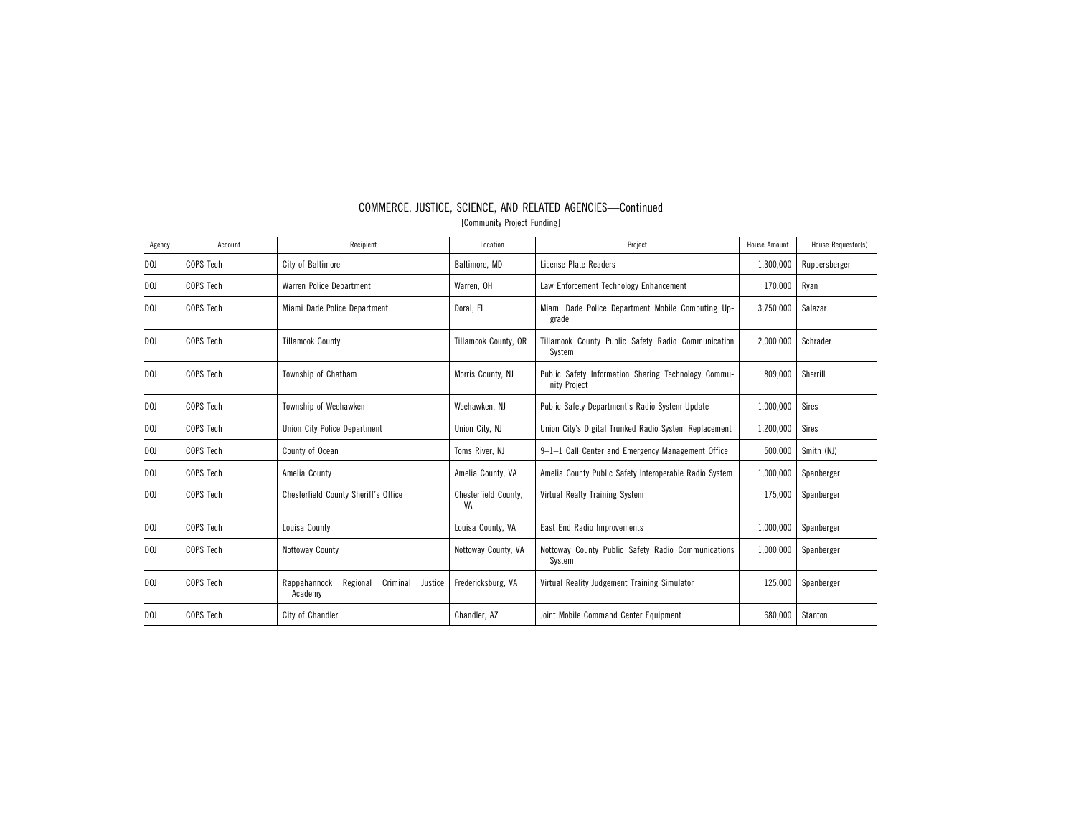| Agency         | Account   | Recipient                                                  | Location                   | Project                                                             | <b>House Amount</b> | House Requestor(s) |
|----------------|-----------|------------------------------------------------------------|----------------------------|---------------------------------------------------------------------|---------------------|--------------------|
| DOJ.           | COPS Tech | City of Baltimore                                          | Baltimore, MD              | License Plate Readers                                               | 1,300,000           | Ruppersberger      |
| DOJ            | COPS Tech | Warren Police Department                                   | Warren, OH                 | Law Enforcement Technology Enhancement                              | 170,000             | Ryan               |
| D <sub>0</sub> | COPS Tech | Miami Dade Police Department                               | Doral, FL                  | Miami Dade Police Department Mobile Computing Up-<br>grade          | 3,750,000           | Salazar            |
| DOJ            | COPS Tech | <b>Tillamook County</b>                                    | Tillamook County, OR       | Tillamook County Public Safety Radio Communication<br>System        | 2,000,000           | Schrader           |
| D <sub>0</sub> | COPS Tech | Township of Chatham                                        | Morris County, NJ          | Public Safety Information Sharing Technology Commu-<br>nity Project | 809.000             | Sherrill           |
| DOJ            | COPS Tech | Township of Weehawken                                      | Weehawken, NJ              | Public Safety Department's Radio System Update                      | 1,000,000           | <b>Sires</b>       |
| DOJ            | COPS Tech | Union City Police Department                               | Union City, NJ             | Union City's Digital Trunked Radio System Replacement               | 1,200,000           | <b>Sires</b>       |
| DOJ            | COPS Tech | County of Ocean                                            | Toms River, NJ             | 9-1-1 Call Center and Emergency Management Office                   | 500,000             | Smith (NJ)         |
| D <sub>0</sub> | COPS Tech | Amelia County                                              | Amelia County, VA          | Amelia County Public Safety Interoperable Radio System              | 1,000,000           | Spanberger         |
| D <sub>0</sub> | COPS Tech | Chesterfield County Sheriff's Office                       | Chesterfield County,<br>VA | Virtual Realty Training System                                      | 175,000             | Spanberger         |
| DOJ            | COPS Tech | Louisa County                                              | Louisa County, VA          | East End Radio Improvements                                         | 1,000,000           | Spanberger         |
| D <sub>0</sub> | COPS Tech | Nottoway County                                            | Nottoway County, VA        | Nottoway County Public Safety Radio Communications<br>System        | 1,000,000           | Spanberger         |
| D <sub>0</sub> | COPS Tech | Criminal<br>Rappahannock<br>Regional<br>Justice<br>Academy | Fredericksburg, VA         | Virtual Reality Judgement Training Simulator                        | 125,000             | Spanberger         |
| D <sub>0</sub> | COPS Tech | City of Chandler                                           | Chandler, AZ               | Joint Mobile Command Center Equipment                               | 680,000             | Stanton            |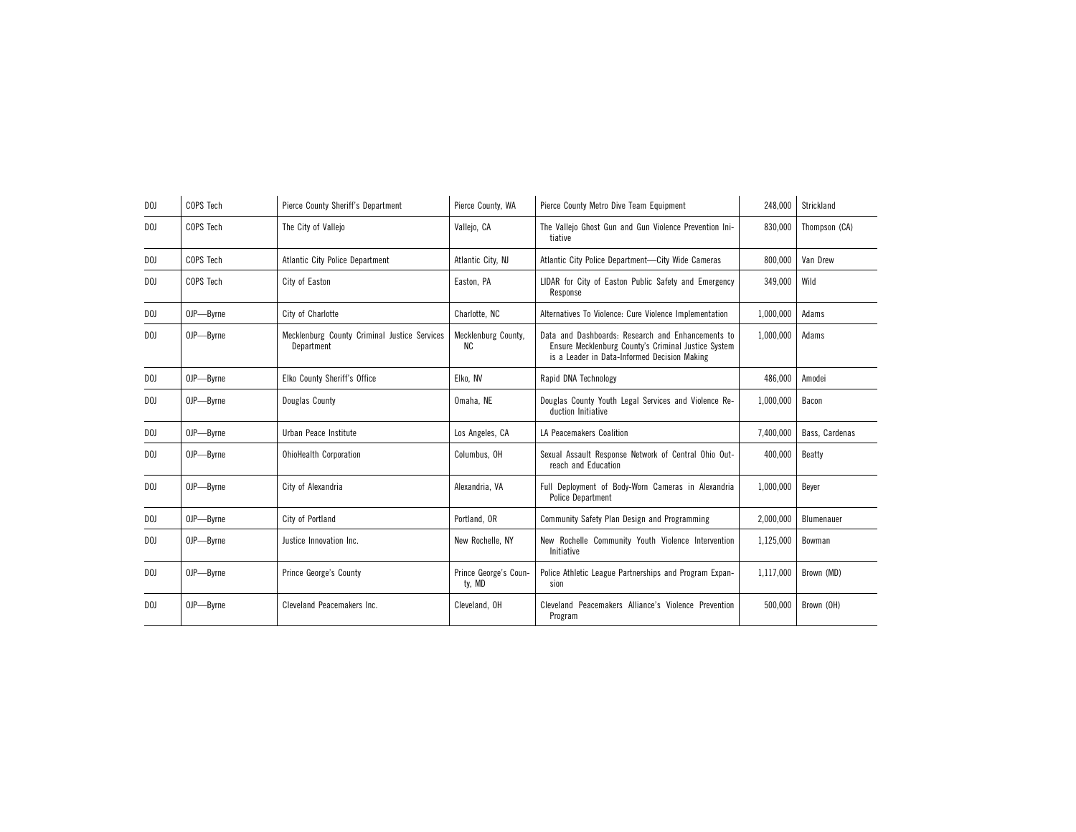| D <sub>0</sub> | COPS Tech | Pierce County Sheriff's Department                         | Pierce County, WA               | Pierce County Metro Dive Team Equipment                                                                                                                  | 248,000   | Strickland     |
|----------------|-----------|------------------------------------------------------------|---------------------------------|----------------------------------------------------------------------------------------------------------------------------------------------------------|-----------|----------------|
| DOJ            | COPS Tech | The City of Valleio                                        | Vallejo, CA                     | The Valleio Ghost Gun and Gun Violence Prevention Ini-<br>tiative                                                                                        | 830.000   | Thompson (CA)  |
| D <sub>0</sub> | COPS Tech | <b>Atlantic City Police Department</b>                     | Atlantic City, NJ               | Atlantic City Police Department-City Wide Cameras                                                                                                        | 800,000   | Van Drew       |
| D <sub>0</sub> | COPS Tech | City of Easton                                             | Easton, PA                      | LIDAR for City of Easton Public Safety and Emergency<br>Response                                                                                         | 349,000   | Wild           |
| D <sub>0</sub> | OJP-Byrne | City of Charlotte                                          | Charlotte, NC                   | Alternatives To Violence: Cure Violence Implementation                                                                                                   | 1,000,000 | Adams          |
| DOJ            | OJP-Byrne | Mecklenburg County Criminal Justice Services<br>Department | Mecklenburg County,<br>ΝC       | Data and Dashboards: Research and Enhancements to<br>Ensure Mecklenburg County's Criminal Justice System<br>is a Leader in Data-Informed Decision Making | 1,000,000 | Adams          |
| D <sub>0</sub> | OJP-Byrne | Elko County Sheriff's Office                               | Elko, NV                        | Rapid DNA Technology                                                                                                                                     | 486,000   | Amodei         |
| D <sub>0</sub> | OJP-Byrne | Douglas County                                             | Omaha, NE                       | Douglas County Youth Legal Services and Violence Re-<br>duction Initiative                                                                               | 1,000,000 | Bacon          |
| D <sub>0</sub> | OJP-Byrne | Urban Peace Institute                                      | Los Angeles, CA                 | LA Peacemakers Coalition                                                                                                                                 | 7,400,000 | Bass, Cardenas |
| D <sub>0</sub> | OJP-Byrne | <b>OhioHealth Corporation</b>                              | Columbus, OH                    | Sexual Assault Response Network of Central Ohio Out-<br>reach and Education                                                                              | 400,000   | Beatty         |
| D <sub>0</sub> | OJP-Byrne | City of Alexandria                                         | Alexandria, VA                  | Full Deployment of Body-Worn Cameras in Alexandria<br><b>Police Department</b>                                                                           | 1,000,000 | Bever          |
| D <sub>0</sub> | OJP-Byrne | City of Portland                                           | Portland, OR                    | Community Safety Plan Design and Programming                                                                                                             | 2,000,000 | Blumenauer     |
| DOJ            | OJP-Byrne | Justice Innovation Inc.                                    | New Rochelle, NY                | New Rochelle Community Youth Violence Intervention<br>Initiative                                                                                         | 1.125.000 | Bowman         |
| D <sub>0</sub> | OJP-Byrne | <b>Prince George's County</b>                              | Prince George's Coun-<br>ty, MD | Police Athletic League Partnerships and Program Expan-<br>sion                                                                                           | 1,117,000 | Brown (MD)     |
| D <sub>0</sub> | OJP-Byrne | Cleveland Peacemakers Inc.                                 | Cleveland, OH                   | Cleveland Peacemakers Alliance's Violence Prevention<br>Program                                                                                          | 500,000   | Brown (OH)     |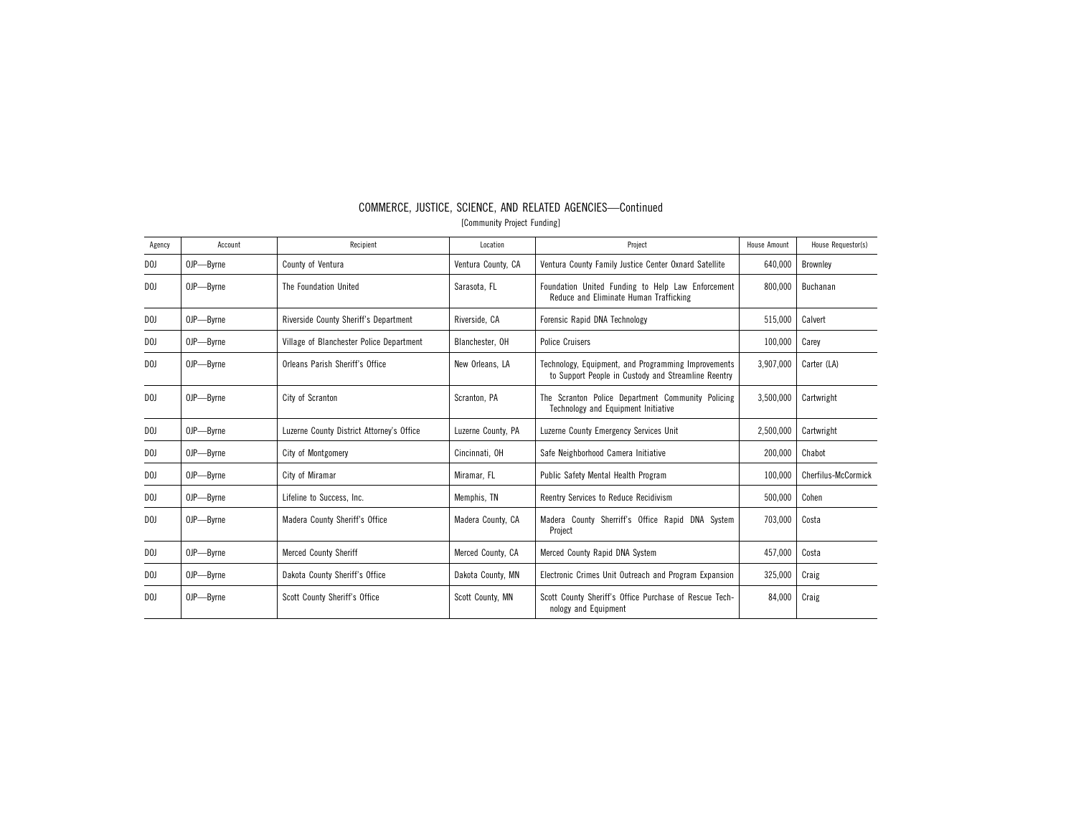| Agency         | Account   | Recipient                                 | Location           | Project                                                                                                    | <b>House Amount</b> | House Requestor(s)  |
|----------------|-----------|-------------------------------------------|--------------------|------------------------------------------------------------------------------------------------------------|---------------------|---------------------|
| D <sub>0</sub> | OJP-Byrne | County of Ventura                         | Ventura County, CA | Ventura County Family Justice Center Oxnard Satellite                                                      | 640,000             | <b>Brownley</b>     |
| D <sub>0</sub> | OJP-Byrne | The Foundation United                     | Sarasota, FL       | Foundation United Funding to Help Law Enforcement<br>Reduce and Eliminate Human Trafficking                | 800.000             | Buchanan            |
| DOJ            | OJP-Byrne | Riverside County Sheriff's Department     | Riverside, CA      | Forensic Rapid DNA Technology                                                                              | 515,000             | Calvert             |
| DOJ            | OJP-Byrne | Village of Blanchester Police Department  | Blanchester, OH    | <b>Police Cruisers</b>                                                                                     | 100,000             | Carey               |
| D <sub>0</sub> | OJP-Byrne | Orleans Parish Sheriff's Office           | New Orleans, LA    | Technology, Equipment, and Programming Improvements<br>to Support People in Custody and Streamline Reentry | 3,907,000           | Carter (LA)         |
| D <sub>0</sub> | OJP-Byrne | City of Scranton                          | Scranton, PA       | The Scranton Police Department Community Policing<br>Technology and Equipment Initiative                   | 3,500,000           | Cartwright          |
| DOJ            | OJP-Byrne | Luzerne County District Attorney's Office | Luzerne County, PA | Luzerne County Emergency Services Unit                                                                     | 2,500,000           | Cartwright          |
| DOJ            | OJP-Byrne | City of Montgomery                        | Cincinnati, OH     | Safe Neighborhood Camera Initiative                                                                        | 200,000             | Chabot              |
| DOJ            | OJP-Byrne | City of Miramar                           | Miramar, FL        | Public Safety Mental Health Program                                                                        | 100,000             | Cherfilus-McCormick |
| DOJ            | OJP-Byrne | Lifeline to Success, Inc.                 | Memphis, TN        | Reentry Services to Reduce Recidivism                                                                      | 500,000             | Cohen               |
| D <sub>0</sub> | OJP-Byrne | Madera County Sheriff's Office            | Madera County, CA  | Madera County Sherriff's Office Rapid DNA System<br>Project                                                | 703,000             | Costa               |
| D <sub>0</sub> | OJP-Byrne | <b>Merced County Sheriff</b>              | Merced County, CA  | Merced County Rapid DNA System                                                                             | 457,000             | Costa               |
| D <sub>0</sub> | OJP-Byrne | Dakota County Sheriff's Office            | Dakota County, MN  | Electronic Crimes Unit Outreach and Program Expansion                                                      | 325,000             | Craig               |
| D <sub>0</sub> | OJP-Byrne | Scott County Sheriff's Office             | Scott County, MN   | Scott County Sheriff's Office Purchase of Rescue Tech-<br>nology and Equipment                             | 84,000              | Craig               |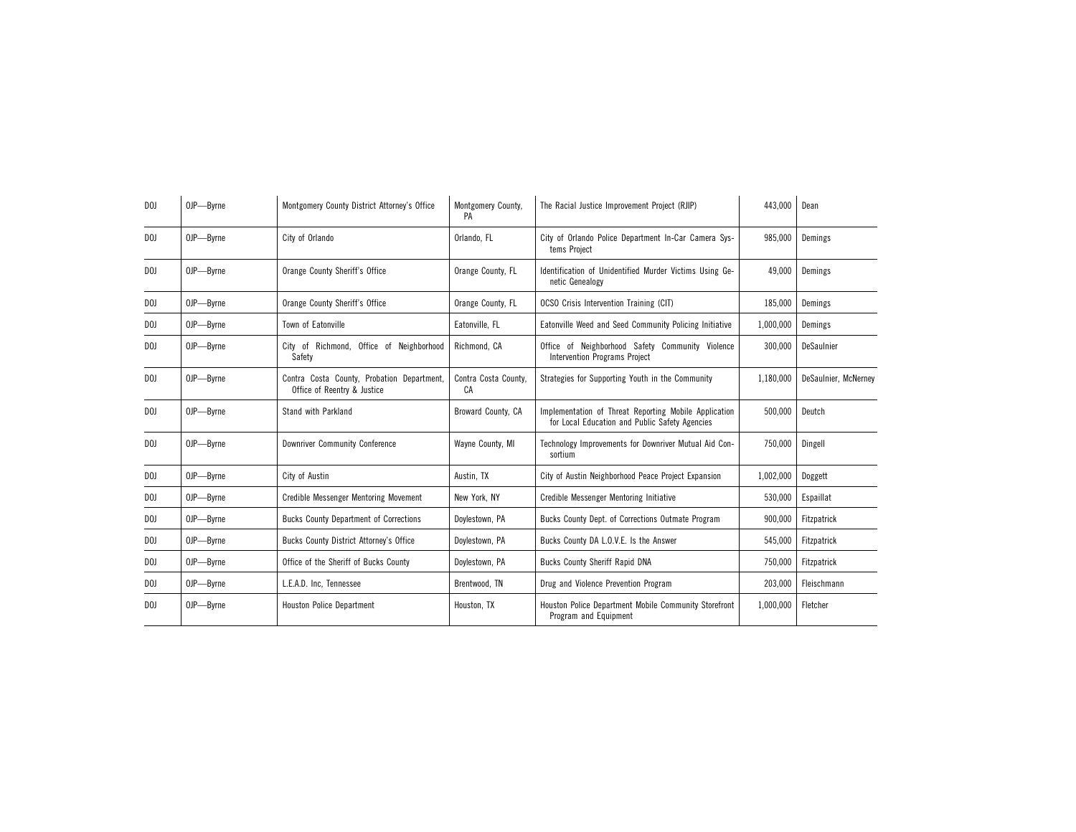| D <sub>0</sub> | OJP-Byrne | Montgomery County District Attorney's Office                              | Montgomery County,<br>PA   | The Racial Justice Improvement Project (RJIP)                                                           | 443,000   | Dean                 |
|----------------|-----------|---------------------------------------------------------------------------|----------------------------|---------------------------------------------------------------------------------------------------------|-----------|----------------------|
| D <sub>0</sub> | OJP-Byrne | City of Orlando                                                           | Orlando, FL                | City of Orlando Police Department In-Car Camera Sys-<br>tems Project                                    | 985,000   | Demings              |
| D <sub>0</sub> | OJP-Byrne | Orange County Sheriff's Office                                            | Orange County, FL          | Identification of Unidentified Murder Victims Using Ge-<br>netic Genealogy                              | 49,000    | Demings              |
| D <sub>0</sub> | OJP-Byrne | Orange County Sheriff's Office                                            | Orange County, FL          | OCSO Crisis Intervention Training (CIT)                                                                 | 185,000   | Demings              |
| DOJ            | OJP-Byrne | Town of Eatonville                                                        | Eatonville, FL             | Eatonville Weed and Seed Community Policing Initiative                                                  | 1,000,000 | Demings              |
| D <sub>0</sub> | OJP-Byrne | City of Richmond, Office of Neighborhood<br>Safety                        | Richmond, CA               | Office of Neighborhood Safety Community Violence<br>Intervention Programs Project                       | 300,000   | DeSaulnier           |
| DOJ            | OJP-Byrne | Contra Costa County, Probation Department,<br>Office of Reentry & Justice | Contra Costa County,<br>CA | Strategies for Supporting Youth in the Community                                                        | 1,180,000 | DeSaulnier, McNerney |
| D <sub>0</sub> | OJP-Byrne | Stand with Parkland                                                       | Broward County, CA         | Implementation of Threat Reporting Mobile Application<br>for Local Education and Public Safety Agencies | 500,000   | Deutch               |
| D <sub>0</sub> | OJP-Byrne | <b>Downriver Community Conference</b>                                     | Wayne County, MI           | Technology Improvements for Downriver Mutual Aid Con-<br>sortium                                        | 750,000   | Dingell              |
| DOJ            | OJP-Byrne | City of Austin                                                            | Austin, TX                 | City of Austin Neighborhood Peace Project Expansion                                                     | 1,002,000 | Doggett              |
| DOJ            | OJP-Byrne | <b>Credible Messenger Mentoring Movement</b>                              | New York, NY               | Credible Messenger Mentoring Initiative                                                                 | 530,000   | Espaillat            |
| DOJ            | OJP-Byrne | <b>Bucks County Department of Corrections</b>                             | Doylestown, PA             | Bucks County Dept. of Corrections Outmate Program                                                       | 900,000   | Fitzpatrick          |
| DOJ            | OJP-Byrne | <b>Bucks County District Attorney's Office</b>                            | Dovlestown, PA             | Bucks County DA L.O.V.E. Is the Answer                                                                  | 545,000   | Fitzpatrick          |
| DOJ            | OJP-Byrne | Office of the Sheriff of Bucks County                                     | Doylestown, PA             | <b>Bucks County Sheriff Rapid DNA</b>                                                                   | 750,000   | Fitzpatrick          |
| DOJ            | OJP-Byrne | L.E.A.D. Inc. Tennessee                                                   | Brentwood, TN              | Drug and Violence Prevention Program                                                                    | 203,000   | Fleischmann          |
| DOJ            | OJP-Byrne | <b>Houston Police Department</b>                                          | Houston, TX                | Houston Police Department Mobile Community Storefront<br>Program and Equipment                          | 1,000,000 | Fletcher             |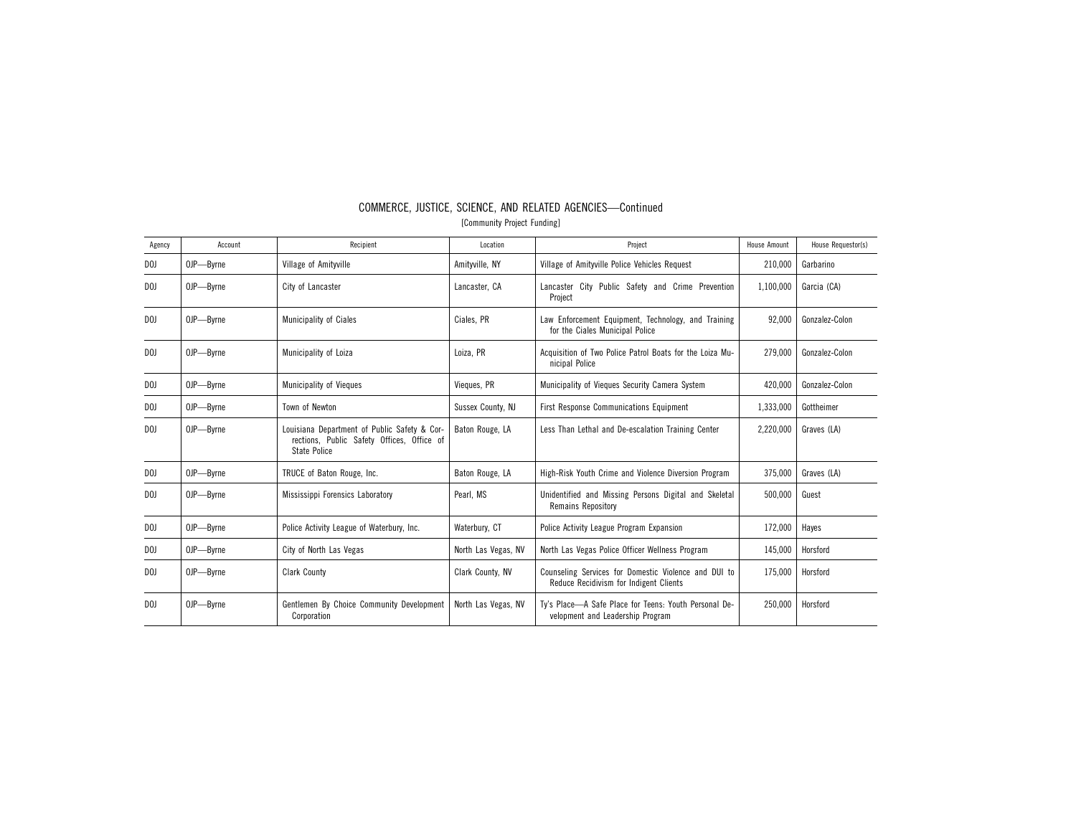| Agency         | Account   | Recipient                                                                                                         | Location            | Project                                                                                        | <b>House Amount</b> | House Requestor(s) |
|----------------|-----------|-------------------------------------------------------------------------------------------------------------------|---------------------|------------------------------------------------------------------------------------------------|---------------------|--------------------|
| D <sub>0</sub> | OJP-Byrne | Village of Amityville                                                                                             | Amityville, NY      | Village of Amityville Police Vehicles Request                                                  | 210,000             | Garbarino          |
| D <sub>0</sub> | OJP-Byrne | City of Lancaster                                                                                                 | Lancaster, CA       | Lancaster City Public Safety and Crime Prevention<br>Project                                   | 1,100,000           | Garcia (CA)        |
| D <sub>0</sub> | OJP-Byrne | Municipality of Ciales                                                                                            | Ciales, PR          | Law Enforcement Equipment, Technology, and Training<br>for the Ciales Municipal Police         | 92,000              | Gonzalez-Colon     |
| D <sub>0</sub> | OJP-Byrne | Municipality of Loiza                                                                                             | Loiza, PR           | Acquisition of Two Police Patrol Boats for the Loiza Mu-<br>nicipal Police                     | 279.000             | Gonzalez-Colon     |
| D <sub>0</sub> | OJP-Byrne | <b>Municipality of Vieques</b>                                                                                    | Vieques, PR         | Municipality of Vieques Security Camera System                                                 | 420.000             | Gonzalez-Colon     |
| DOJ            | OJP-Byrne | Town of Newton                                                                                                    | Sussex County, NJ   | <b>First Response Communications Equipment</b>                                                 | 1,333,000           | Gottheimer         |
| D <sub>0</sub> | OJP-Byrne | Louisiana Department of Public Safety & Cor-<br>rections, Public Safety Offices, Office of<br><b>State Police</b> | Baton Rouge, LA     | Less Than Lethal and De-escalation Training Center                                             | 2,220,000           | Graves (LA)        |
| D <sub>0</sub> | OJP-Byrne | TRUCE of Baton Rouge, Inc.                                                                                        | Baton Rouge, LA     | High-Risk Youth Crime and Violence Diversion Program                                           | 375.000             | Graves (LA)        |
| D <sub>0</sub> | OJP-Byrne | Mississippi Forensics Laboratory                                                                                  | Pearl. MS           | Unidentified and Missing Persons Digital and Skeletal<br>Remains Repository                    | 500,000             | Guest              |
| DOJ            | OJP-Byrne | Police Activity League of Waterbury, Inc.                                                                         | Waterbury, CT       | Police Activity League Program Expansion                                                       | 172,000             | Haves              |
| D <sub>0</sub> | OJP-Byrne | City of North Las Vegas                                                                                           | North Las Vegas, NV | North Las Vegas Police Officer Wellness Program                                                | 145,000             | Horsford           |
| DOJ            | OJP-Byrne | <b>Clark County</b>                                                                                               | Clark County, NV    | Counseling Services for Domestic Violence and DUI to<br>Reduce Recidivism for Indigent Clients | 175,000             | Horsford           |
| D <sub>0</sub> | OJP-Byrne | Gentlemen By Choice Community Development<br>Corporation                                                          | North Las Vegas, NV | Ty's Place-A Safe Place for Teens: Youth Personal De-<br>velopment and Leadership Program      | 250,000             | Horsford           |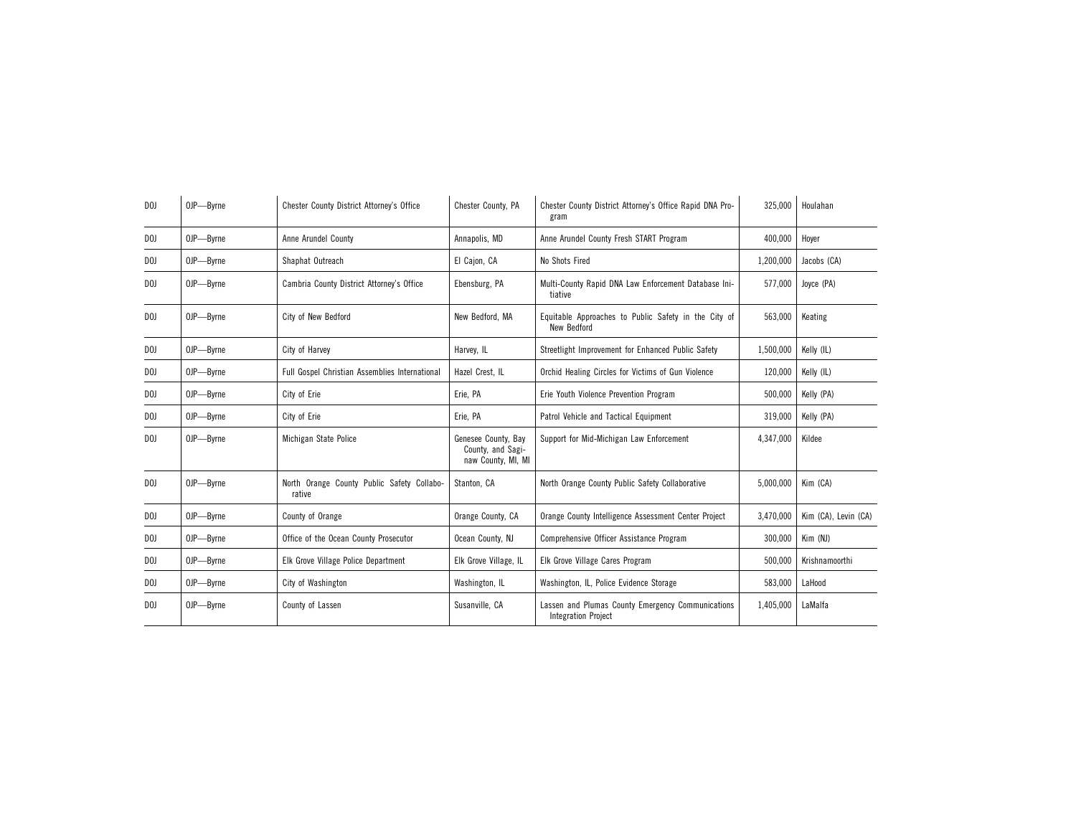| D <sub>0</sub> | OJP-Byrne | Chester County District Attorney's Office            | Chester County, PA                                             | Chester County District Attorney's Office Rapid DNA Pro-<br>gram                | 325,000   | Houlahan             |
|----------------|-----------|------------------------------------------------------|----------------------------------------------------------------|---------------------------------------------------------------------------------|-----------|----------------------|
| D <sub>0</sub> | OJP-Byrne | Anne Arundel County                                  | Annapolis, MD                                                  | Anne Arundel County Fresh START Program                                         | 400,000   | Hover                |
| D <sub>0</sub> | OJP-Byrne | Shaphat Outreach                                     | El Cajon, CA                                                   | No Shots Fired                                                                  | 1,200,000 | Jacobs (CA)          |
| D <sub>0</sub> | OJP-Byrne | Cambria County District Attorney's Office            | Ebensburg, PA                                                  | Multi-County Rapid DNA Law Enforcement Database Ini-<br>tiative                 | 577,000   | Joyce (PA)           |
| D <sub>0</sub> | OJP-Byrne | City of New Bedford                                  | New Bedford, MA                                                | Equitable Approaches to Public Safety in the City of<br>New Bedford             | 563,000   | Keating              |
| DOJ            | OJP-Byrne | City of Harvey                                       | Harvey, IL                                                     | Streetlight Improvement for Enhanced Public Safety                              | 1,500,000 | Kelly (IL)           |
| DOJ            | OJP-Byrne | Full Gospel Christian Assemblies International       | Hazel Crest, IL                                                | Orchid Healing Circles for Victims of Gun Violence                              | 120,000   | Kelly (IL)           |
| D <sub>0</sub> | OJP-Byrne | City of Erie                                         | Erie, PA                                                       | Erie Youth Violence Prevention Program                                          | 500,000   | Kelly (PA)           |
| DOJ            | OJP-Byrne | City of Erie                                         | Erie, PA                                                       | Patrol Vehicle and Tactical Equipment                                           | 319,000   | Kelly (PA)           |
| D <sub>0</sub> | OJP-Byrne | Michigan State Police                                | Genesee County, Bay<br>County, and Sagi-<br>naw County, MI, MI | Support for Mid-Michigan Law Enforcement                                        | 4,347,000 | Kildee               |
| D <sub>0</sub> | OJP-Byrne | North Orange County Public Safety Collabo-<br>rative | Stanton, CA                                                    | North Orange County Public Safety Collaborative                                 | 5,000,000 | Kim (CA)             |
| DOJ            | OJP-Byrne | County of Orange                                     | Orange County, CA                                              | Orange County Intelligence Assessment Center Project                            | 3.470.000 | Kim (CA), Levin (CA) |
| DOJ            | OJP-Byrne | Office of the Ocean County Prosecutor                | Ocean County, NJ                                               | Comprehensive Officer Assistance Program                                        | 300,000   | Kim (NJ)             |
| D <sub>0</sub> | OJP-Byrne | Elk Grove Village Police Department                  | Elk Grove Village, IL                                          | Elk Grove Village Cares Program                                                 | 500,000   | Krishnamoorthi       |
| DOJ            | OJP-Byrne | City of Washington                                   | Washington, IL                                                 | Washington, IL, Police Evidence Storage                                         | 583,000   | LaHood               |
| DOJ            | OJP-Byrne | County of Lassen                                     | Susanville, CA                                                 | Lassen and Plumas County Emergency Communications<br><b>Integration Project</b> | 1,405,000 | LaMalfa              |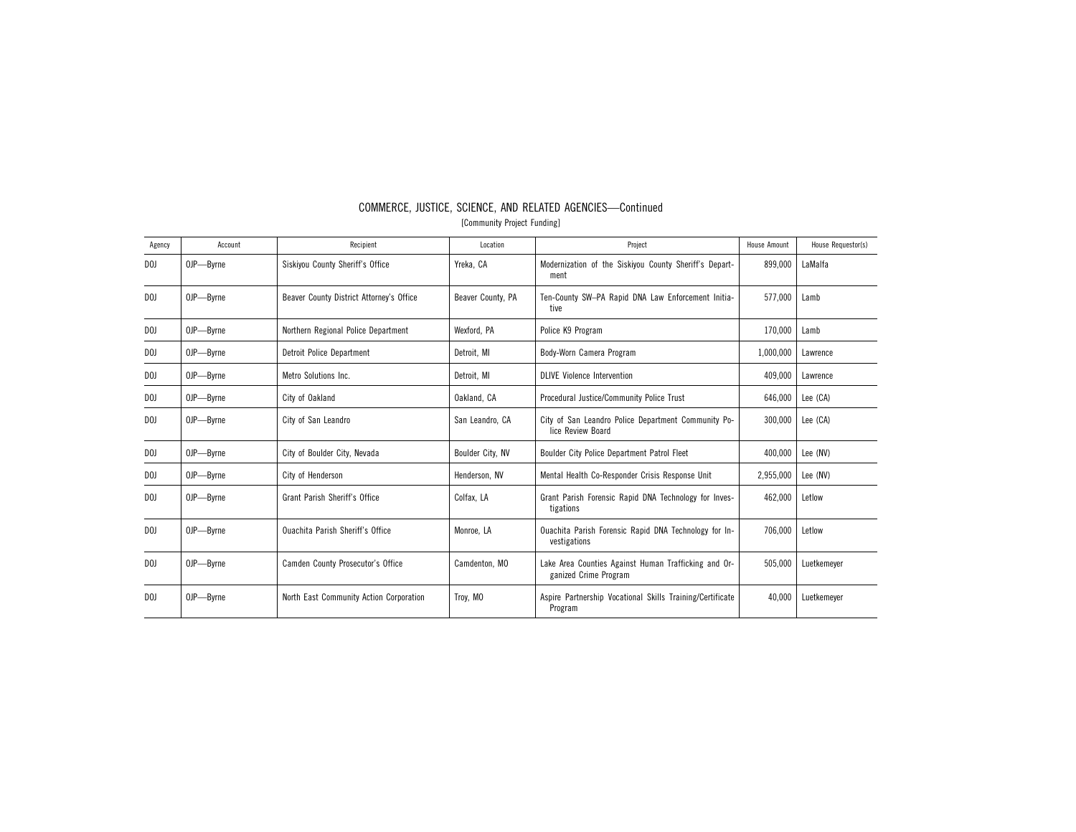| Agency         | Account   | Recipient                                | Location          | Project                                                                       | <b>House Amount</b> | House Requestor(s) |
|----------------|-----------|------------------------------------------|-------------------|-------------------------------------------------------------------------------|---------------------|--------------------|
| D <sub>0</sub> | OJP-Byrne | Siskiyou County Sheriff's Office         | Yreka, CA         | Modernization of the Siskiyou County Sheriff's Depart-<br>ment                | 899,000             | LaMalfa            |
| D()            | OJP-Byrne | Beaver County District Attorney's Office | Beaver County, PA | Ten-County SW-PA Rapid DNA Law Enforcement Initia-<br>tive                    | 577,000             | Lamb               |
| D <sub>0</sub> | OJP-Byrne | Northern Regional Police Department      | Wexford, PA       | Police K9 Program                                                             | 170,000             | Lamb               |
| DOJ            | OJP-Byrne | Detroit Police Department                | Detroit. MI       | Body-Worn Camera Program                                                      | 1,000,000           | Lawrence           |
| D <sub>0</sub> | OJP-Byrne | Metro Solutions Inc.                     | Detroit, MI       | <b>DLIVE Violence Intervention</b>                                            | 409,000             | Lawrence           |
| D <sub>0</sub> | OJP-Byrne | City of Oakland                          | Oakland, CA       | Procedural Justice/Community Police Trust                                     | 646,000             | Lee (CA)           |
| D <sub>0</sub> | OJP-Byrne | City of San Leandro                      | San Leandro, CA   | City of San Leandro Police Department Community Po-<br>lice Review Board      | 300,000             | Lee (CA)           |
| D <sub>0</sub> | OJP-Byrne | City of Boulder City, Nevada             | Boulder City, NV  | Boulder City Police Department Patrol Fleet                                   | 400,000             | Lee (NV)           |
| DOJ            | OJP-Byrne | City of Henderson                        | Henderson, NV     | Mental Health Co-Responder Crisis Response Unit                               | 2,955,000           | Lee (NV)           |
| DOJ            | OJP-Byrne | Grant Parish Sheriff's Office            | Colfax, LA        | Grant Parish Forensic Rapid DNA Technology for Inves-<br>tigations            | 462,000             | Letlow             |
| D <sub>0</sub> | OJP-Byrne | <b>Ouachita Parish Sheriff's Office</b>  | Monroe, LA        | Ouachita Parish Forensic Rapid DNA Technology for In-<br>vestigations         | 706,000             | Letlow             |
| D <sub>0</sub> | OJP-Byrne | Camden County Prosecutor's Office        | Camdenton, MO     | Lake Area Counties Against Human Trafficking and Or-<br>ganized Crime Program | 505,000             | Luetkemeyer        |
| D <sub>0</sub> | OJP-Byrne | North East Community Action Corporation  | Troy, MO          | Aspire Partnership Vocational Skills Training/Certificate<br>Program          | 40.000              | Luetkemever        |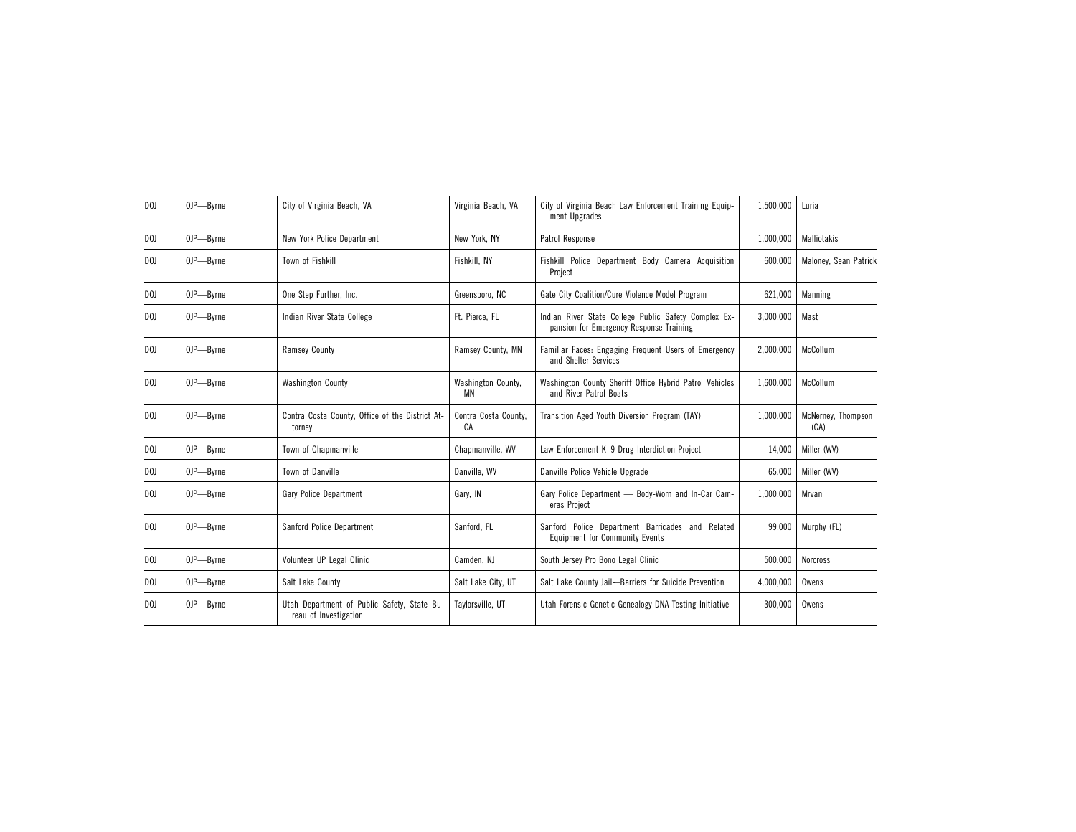| D <sub>0</sub>  | OJP-Byrne | City of Virginia Beach, VA                                           | Virginia Beach, VA              | City of Virginia Beach Law Enforcement Training Equip-<br>ment Upgrades                         | 1,500,000 | Luria                      |
|-----------------|-----------|----------------------------------------------------------------------|---------------------------------|-------------------------------------------------------------------------------------------------|-----------|----------------------------|
| DOJ.            | OJP-Byrne | New York Police Department                                           | New York, NY                    | Patrol Response                                                                                 | 1,000,000 | Malliotakis                |
| D <sub>0</sub>  | OJP-Byrne | Town of Fishkill                                                     | Fishkill, NY                    | Fishkill Police Department Body Camera Acquisition<br>Project                                   | 600,000   | Maloney, Sean Patrick      |
| DOJ             | OJP-Byrne | One Step Further, Inc.                                               | Greensboro, NC                  | Gate City Coalition/Cure Violence Model Program                                                 | 621,000   | Manning                    |
| D <sub>01</sub> | OJP-Byrne | Indian River State College                                           | Ft. Pierce. FL                  | Indian River State College Public Safety Complex Ex-<br>pansion for Emergency Response Training | 3,000,000 | Mast                       |
| D <sub>0</sub>  | OJP-Byrne | <b>Ramsey County</b>                                                 | Ramsey County, MN               | Familiar Faces: Engaging Frequent Users of Emergency<br>and Shelter Services                    | 2,000,000 | McCollum                   |
| DOJ.            | OJP-Byrne | <b>Washington County</b>                                             | Washington County,<br><b>MN</b> | Washington County Sheriff Office Hybrid Patrol Vehicles<br>and River Patrol Boats               | 1,600,000 | McCollum                   |
| DOJ.            | OJP-Byrne | Contra Costa County, Office of the District At-<br>torney            | Contra Costa County,<br>CA      | Transition Aged Youth Diversion Program (TAY)                                                   | 1,000,000 | McNerney, Thompson<br>(CA) |
| DOJ             | OJP-Byrne | Town of Chapmanville                                                 | Chapmanville, WV                | Law Enforcement K-9 Drug Interdiction Project                                                   | 14,000    | Miller (WV)                |
| DOJ             | OJP-Byrne | Town of Danville                                                     | Danville, WV                    | Danville Police Vehicle Upgrade                                                                 | 65,000    | Miller (WV)                |
| DOJ             | OJP-Byrne | Gary Police Department                                               | Gary, IN                        | Gary Police Department - Body-Worn and In-Car Cam-<br>eras Project                              | 1.000.000 | Mrvan                      |
| DOJ             | OJP-Byrne | Sanford Police Department                                            | Sanford, FL                     | Sanford Police Department Barricades and Related<br><b>Equipment for Community Events</b>       | 99,000    | Murphy (FL)                |
| DOJ             | OJP-Byrne | Volunteer UP Legal Clinic                                            | Camden, NJ                      | South Jersey Pro Bono Legal Clinic                                                              | 500,000   | <b>Norcross</b>            |
| DOJ             | OJP-Byrne | Salt Lake County                                                     | Salt Lake City, UT              | Salt Lake County Jail--Barriers for Suicide Prevention                                          | 4,000,000 | Owens                      |
| DOJ             | OJP-Byrne | Utah Department of Public Safety, State Bu-<br>reau of Investigation | Taylorsville, UT                | Utah Forensic Genetic Genealogy DNA Testing Initiative                                          | 300,000   | Owens                      |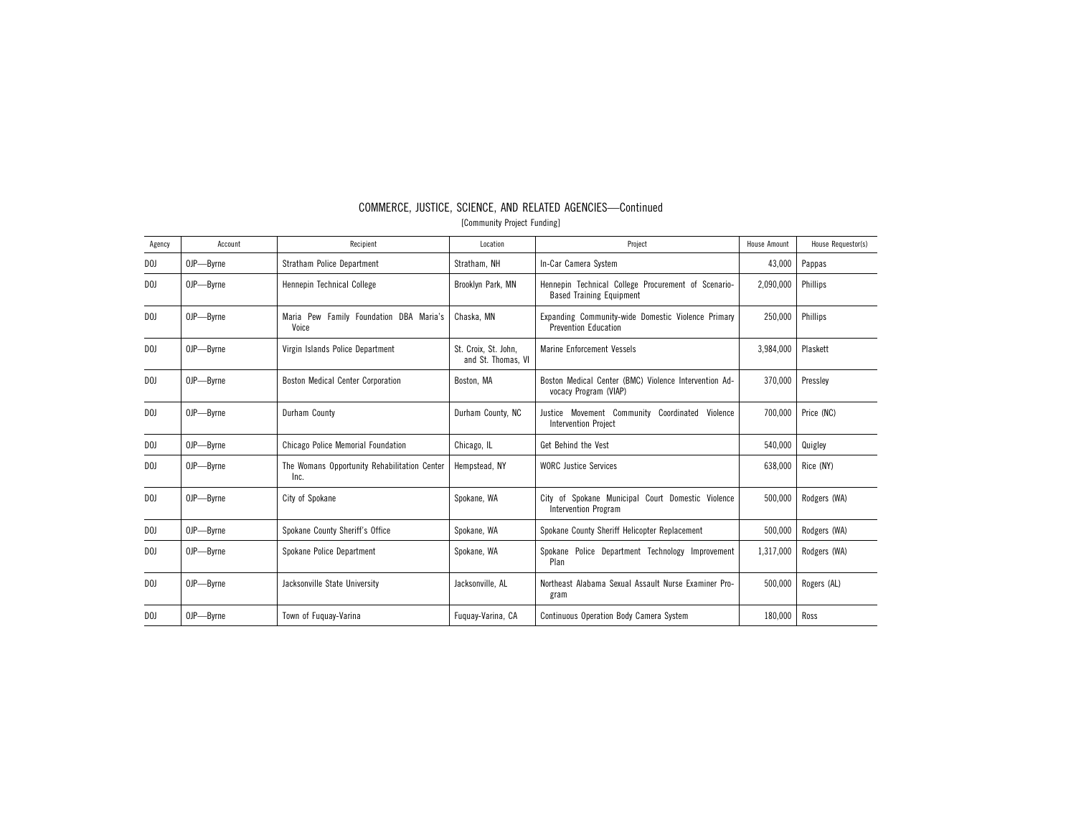| Agency         | Account   | Recipient                                            | Location                                   | Project                                                                                | <b>House Amount</b> | House Requestor(s) |
|----------------|-----------|------------------------------------------------------|--------------------------------------------|----------------------------------------------------------------------------------------|---------------------|--------------------|
| D <sub>0</sub> | OJP-Byrne | Stratham Police Department                           | Stratham, NH                               | In-Car Camera System                                                                   | 43,000              | Pappas             |
| DOJ            | OJP-Byrne | Hennepin Technical College                           | Brooklyn Park, MN                          | Hennepin Technical College Procurement of Scenario-<br><b>Based Training Equipment</b> | 2,090,000           | Phillips           |
| D <sub>0</sub> | OJP-Byrne | Maria Pew Family Foundation DBA Maria's<br>Voice     | Chaska, MN                                 | Expanding Community-wide Domestic Violence Primary<br><b>Prevention Education</b>      | 250,000             | Phillips           |
| D <sub>0</sub> | OJP-Byrne | Virgin Islands Police Department                     | St. Croix. St. John.<br>and St. Thomas, VI | <b>Marine Enforcement Vessels</b>                                                      | 3,984,000           | Plaskett           |
| DOJ            | OJP-Byrne | <b>Boston Medical Center Corporation</b>             | Boston, MA                                 | Boston Medical Center (BMC) Violence Intervention Ad-<br>vocacy Program (VIAP)         | 370,000             | Presslev           |
| D <sub>0</sub> | OJP-Byrne | Durham County                                        | Durham County, NC                          | Justice Movement Community Coordinated Violence<br><b>Intervention Project</b>         | 700,000             | Price (NC)         |
| DOJ            | OJP-Byrne | Chicago Police Memorial Foundation                   | Chicago, IL                                | Get Behind the Vest                                                                    | 540,000             | Quigley            |
| DOJ            | OJP-Byrne | The Womans Opportunity Rehabilitation Center<br>Inc. | Hempstead, NY                              | <b>WORC</b> Justice Services                                                           | 638,000             | Rice (NY)          |
| DOJ            | OJP-Byrne | City of Spokane                                      | Spokane, WA                                | City of Spokane Municipal Court Domestic Violence<br>Intervention Program              | 500,000             | Rodgers (WA)       |
| DOJ            | OJP-Byrne | Spokane County Sheriff's Office                      | Spokane, WA                                | Spokane County Sheriff Helicopter Replacement                                          | 500.000             | Rodgers (WA)       |
| D <sub>0</sub> | OJP-Byrne | Spokane Police Department                            | Spokane, WA                                | Spokane Police Department Technology Improvement<br>Plan                               | 1,317,000           | Rodgers (WA)       |
| D <sub>0</sub> | OJP-Byrne | Jacksonville State University                        | Jacksonville, AL                           | Northeast Alabama Sexual Assault Nurse Examiner Pro-<br>gram                           | 500,000             | Rogers (AL)        |
| D <sub>0</sub> | OJP-Byrne | Town of Fuguay-Varina                                | Fuguay-Varina, CA                          | <b>Continuous Operation Body Camera System</b>                                         | 180,000             | Ross               |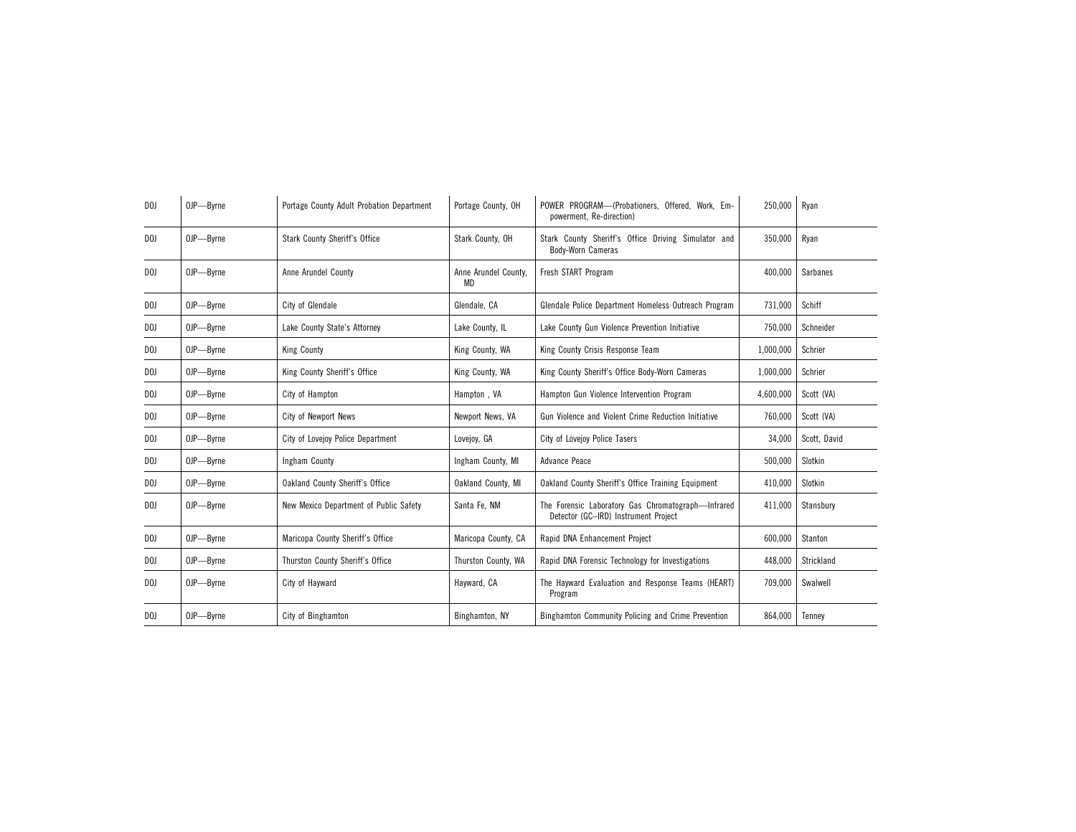| D <sub>0</sub> | OJP-Byrne | Portage County Adult Probation Department | Portage County, OH         | POWER PROGRAM-(Probationers, Offered, Work, Em-<br>powerment, Re-direction)                | 250,000   | Ryan         |
|----------------|-----------|-------------------------------------------|----------------------------|--------------------------------------------------------------------------------------------|-----------|--------------|
| D <sub>0</sub> | OJP-Byrne | <b>Stark County Sheriff's Office</b>      | Stark County, OH           | Stark County Sheriff's Office Driving Simulator and<br><b>Body-Worn Cameras</b>            | 350,000   | Ryan         |
| D <sub>0</sub> | OJP-Byrne | Anne Arundel County                       | Anne Arundel County,<br>MD | Fresh START Program                                                                        | 400,000   | Sarbanes     |
| D <sub>0</sub> | OJP-Byrne | City of Glendale                          | Glendale, CA               | Glendale Police Department Homeless Outreach Program                                       | 731,000   | Schiff       |
| DOJ            | OJP-Byrne | Lake County State's Attorney              | Lake County, IL            | Lake County Gun Violence Prevention Initiative                                             | 750,000   | Schneider    |
| DOJ            | OJP-Byrne | <b>King County</b>                        | King County, WA            | King County Crisis Response Team                                                           | 1,000,000 | Schrier      |
| DOJ            | OJP-Byrne | King County Sheriff's Office              | King County, WA            | King County Sheriff's Office Body-Worn Cameras                                             | 1,000,000 | Schrier      |
| DOJ            | OJP-Byrne | City of Hampton                           | Hampton, VA                | Hampton Gun Violence Intervention Program                                                  | 4,600,000 | Scott (VA)   |
| DOJ            | OJP-Byrne | City of Newport News                      | Newport News, VA           | Gun Violence and Violent Crime Reduction Initiative                                        | 760.000   | Scott (VA)   |
| DOJ            | OJP-Byrne | City of Lovejoy Police Department         | Lovejoy, GA                | City of Lovejoy Police Tasers                                                              | 34,000    | Scott, David |
| DOJ            | OJP-Byrne | Ingham County                             | Ingham County, MI          | Advance Peace                                                                              | 500.000   | Slotkin      |
| DOJ            | OJP-Byrne | Oakland County Sheriff's Office           | Oakland County, MI         | Oakland County Sheriff's Office Training Equipment                                         | 410,000   | Slotkin      |
| DOJ            | OJP-Byrne | New Mexico Department of Public Safety    | Santa Fe. NM               | The Forensic Laboratory Gas Chromatograph-Infrared<br>Detector (GC-IRD) Instrument Project | 411.000   | Stansburv    |
| DOJ            | OJP-Byrne | Maricopa County Sheriff's Office          | Maricopa County, CA        | Rapid DNA Enhancement Project                                                              | 600,000   | Stanton      |
| DOJ            | OJP-Byrne | Thurston County Sheriff's Office          | Thurston County, WA        | Rapid DNA Forensic Technology for Investigations                                           | 448,000   | Strickland   |
| DOJ            | OJP-Byrne | City of Havward                           | Hayward, CA                | The Hayward Evaluation and Response Teams (HEART)<br>Program                               | 709,000   | Swalwell     |
| D <sub>0</sub> | OJP-Byrne | City of Binghamton                        | Binghamton, NY             | Binghamton Community Policing and Crime Prevention                                         | 864,000   | Tenney       |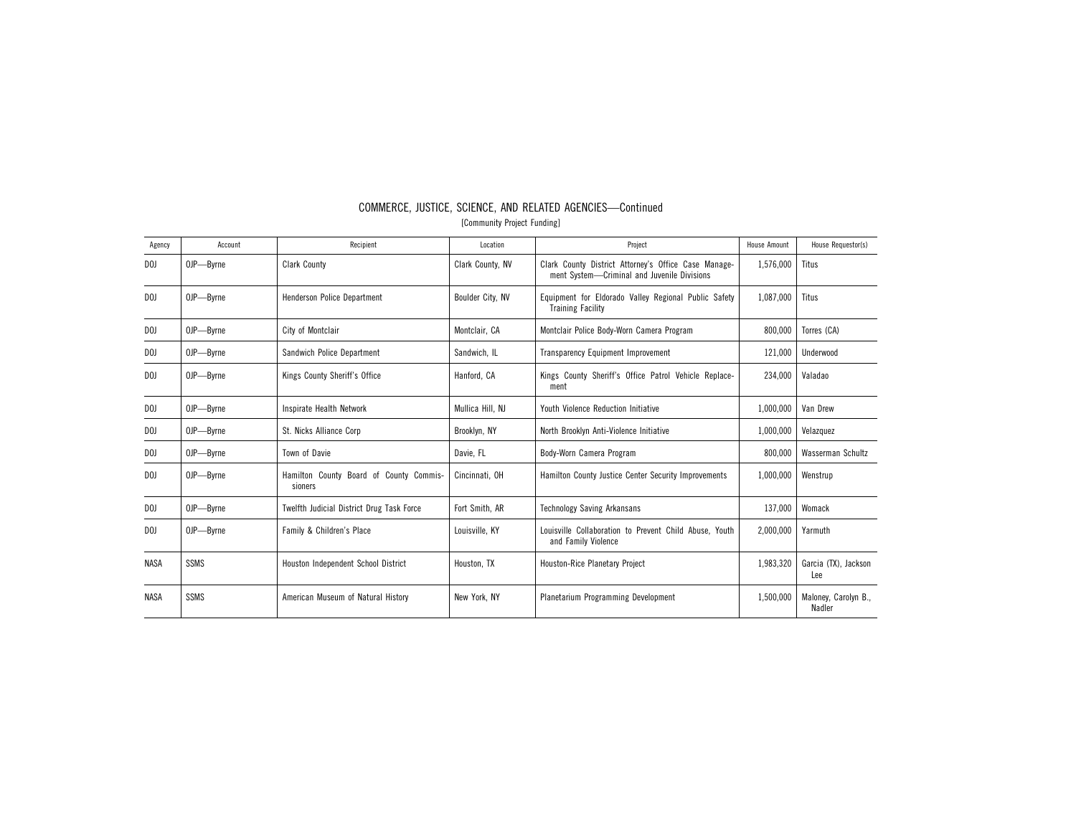| Agency         | Account     | Recipient                                          | Location         | Project                                                                                               | <b>House Amount</b> | House Requestor(s)             |
|----------------|-------------|----------------------------------------------------|------------------|-------------------------------------------------------------------------------------------------------|---------------------|--------------------------------|
| D <sub>0</sub> | OJP-Byrne   | <b>Clark County</b>                                | Clark County, NV | Clark County District Attorney's Office Case Manage-<br>ment System---Criminal and Juvenile Divisions | 1,576,000           | Titus                          |
| D <sub>0</sub> | OJP-Byrne   | Henderson Police Department                        | Boulder City, NV | Equipment for Eldorado Valley Regional Public Safety<br><b>Training Facility</b>                      | 1.087.000           | Titus                          |
| DOJ            | OJP-Byrne   | City of Montclair                                  | Montclair, CA    | Montclair Police Body-Worn Camera Program                                                             | 800,000             | Torres (CA)                    |
| DOJ            | OJP-Byrne   | Sandwich Police Department                         | Sandwich, IL     | Transparency Equipment Improvement                                                                    | 121,000             | Underwood                      |
| D <sub>0</sub> | OJP-Byrne   | Kings County Sheriff's Office                      | Hanford, CA      | Kings County Sheriff's Office Patrol Vehicle Replace-<br>ment                                         | 234.000             | Valadao                        |
| DOJ            | OJP-Byrne   | Inspirate Health Network                           | Mullica Hill, NJ | <b>Youth Violence Reduction Initiative</b>                                                            | 1,000,000           | Van Drew                       |
| DOJ            | OJP-Byrne   | St. Nicks Alliance Corp                            | Brooklyn, NY     | North Brooklyn Anti-Violence Initiative                                                               | 1,000,000           | Velazquez                      |
| D <sub>0</sub> | OJP-Byrne   | Town of Davie                                      | Davie, FL        | Body-Worn Camera Program                                                                              | 800,000             | Wasserman Schultz              |
| D <sub>0</sub> | OJP-Byrne   | Hamilton County Board of County Commis-<br>sioners | Cincinnati, OH   | Hamilton County Justice Center Security Improvements                                                  | 1.000.000           | Wenstrup                       |
| D <sub>0</sub> | OJP-Byrne   | <b>Twelfth Judicial District Drug Task Force</b>   | Fort Smith, AR   | <b>Technology Saving Arkansans</b>                                                                    | 137,000             | Womack                         |
| D <sub>0</sub> | OJP-Byrne   | Family & Children's Place                          | Louisville, KY   | Louisville Collaboration to Prevent Child Abuse. Youth<br>and Family Violence                         | 2.000.000           | Yarmuth                        |
| <b>NASA</b>    | <b>SSMS</b> | Houston Independent School District                | Houston, TX      | Houston-Rice Planetary Project                                                                        | 1,983,320           | Garcia (TX), Jackson<br>Lee    |
| <b>NASA</b>    | <b>SSMS</b> | American Museum of Natural History                 | New York, NY     | Planetarium Programming Development                                                                   | 1,500,000           | Maloney, Carolyn B.,<br>Nadler |